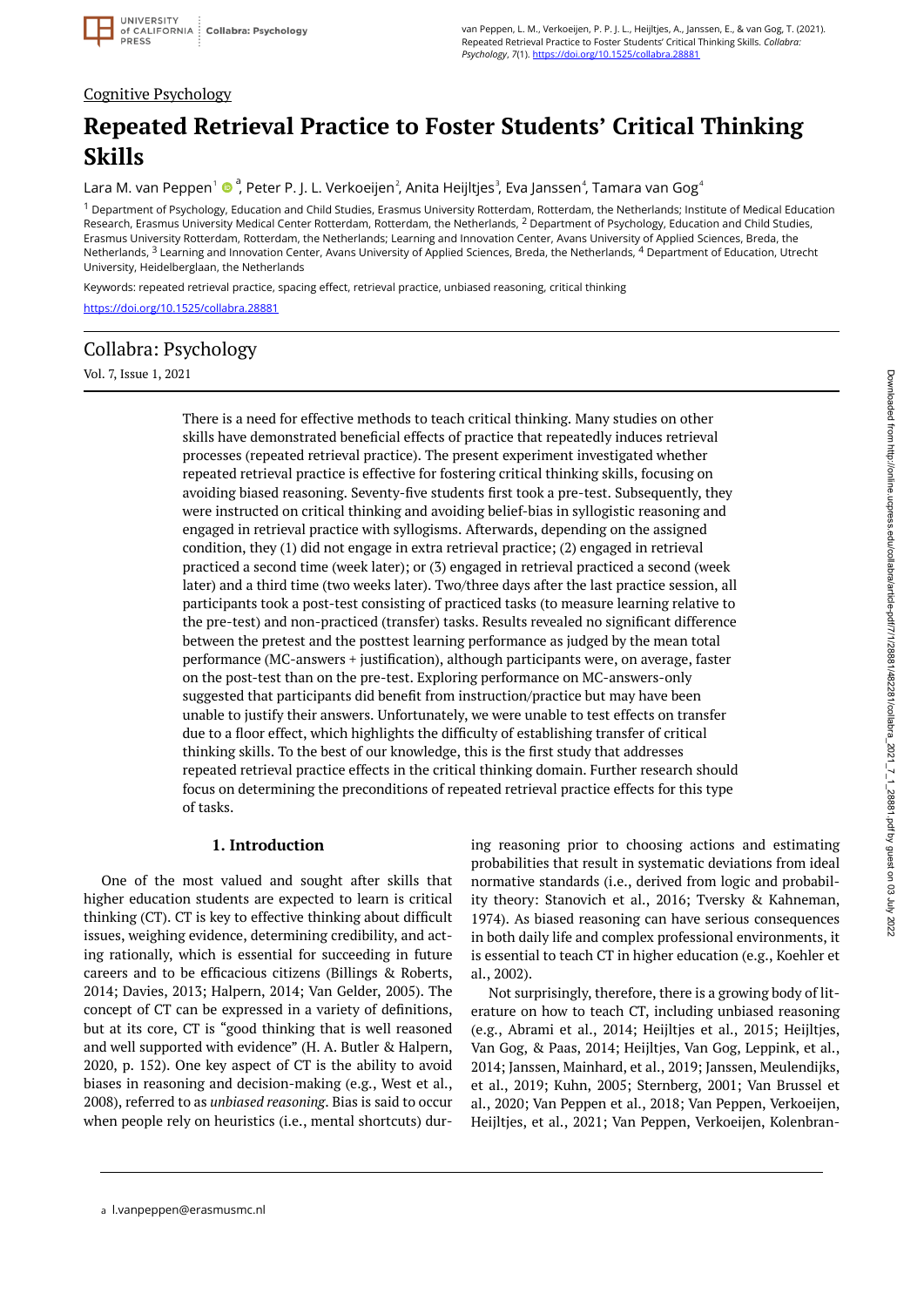## Cognitive Psychology

# **Repeated Retrieval Practice to Foster Students' Critical Thinking Skills**

Lara M. van Peppen<sup>1</sup> ® <sup>a</sup>, Peter P. J. L. Verkoeijen<sup>2</sup>, Anita Heijltjes<sup>3</sup>, Eva Janssen<sup>4</sup>, Tamara van Gog<sup>4</sup>

<sup>1</sup> Department of Psychology, Education and Child Studies, Erasmus University Rotterdam, Rotterdam, the Netherlands; Institute of Medical Education Research, Erasmus University Medical Center Rotterdam, Rotterdam, the Netherlands, <sup>2</sup> Department of Psychology, Education and Child Studies, Erasmus University Rotterdam, Rotterdam, the Netherlands; Learning and Innovation Center, Avans University of Applied Sciences, Breda, the Netherlands, <sup>3</sup> Learning and Innovation Center, Avans University of Applied Sciences, Breda, the Netherlands, <sup>4</sup> Department of Education, Utrecht University, Heidelberglaan, the Netherlands

Keywords: repeated retrieval practice, spacing effect, retrieval practice, unbiased reasoning, critical thinking <https://doi.org/10.1525/collabra.28881>

# Collabra: Psychology

Vol. 7, Issue 1, 2021

There is a need for effective methods to teach critical thinking. Many studies on other skills have demonstrated beneficial effects of practice that repeatedly induces retrieval processes (repeated retrieval practice). The present experiment investigated whether repeated retrieval practice is effective for fostering critical thinking skills, focusing on avoiding biased reasoning. Seventy-five students first took a pre-test. Subsequently, they were instructed on critical thinking and avoiding belief-bias in syllogistic reasoning and engaged in retrieval practice with syllogisms. Afterwards, depending on the assigned condition, they (1) did not engage in extra retrieval practice; (2) engaged in retrieval practiced a second time (week later); or (3) engaged in retrieval practiced a second (week later) and a third time (two weeks later). Two/three days after the last practice session, all participants took a post-test consisting of practiced tasks (to measure learning relative to the pre-test) and non-practiced (transfer) tasks. Results revealed no significant difference between the pretest and the posttest learning performance as judged by the mean total performance (MC-answers + justification), although participants were, on average, faster on the post-test than on the pre-test. Exploring performance on MC-answers-only suggested that participants did benefit from instruction/practice but may have been unable to justify their answers. Unfortunately, we were unable to test effects on transfer due to a floor effect, which highlights the difficulty of establishing transfer of critical thinking skills. To the best of our knowledge, this is the first study that addresses repeated retrieval practice effects in the critical thinking domain. Further research should focus on determining the preconditions of repeated retrieval practice effects for this type of tasks.

### **1. Introduction**

One of the most valued and sought after skills that higher education students are expected to learn is critical thinking (CT). CT is key to effective thinking about difficult issues, weighing evidence, determining credibility, and acting rationally, which is essential for succeeding in future careers and to be efficacious citizens (Billings & Roberts, 2014; Davies, 2013; Halpern, 2014; Van Gelder, 2005). The concept of CT can be expressed in a variety of definitions, but at its core, CT is "good thinking that is well reasoned and well supported with evidence" (H. A. Butler & Halpern, 2020, p. 152). One key aspect of CT is the ability to avoid biases in reasoning and decision-making (e.g., West et al., 2008), referred to as *unbiased reasoning*. Bias is said to occur when people rely on heuristics (i.e., mental shortcuts) during reasoning prior to choosing actions and estimating probabilities that result in systematic deviations from ideal normative standards (i.e., derived from logic and probability theory: Stanovich et al., 2016; Tversky & Kahneman, 1974). As biased reasoning can have serious consequences in both daily life and complex professional environments, it is essential to teach CT in higher education (e.g., Koehler et al., 2002).

Not surprisingly, therefore, there is a growing body of literature on how to teach CT, including unbiased reasoning (e.g., Abrami et al., 2014; Heijltjes et al., 2015; Heijltjes, Van Gog, & Paas, 2014; Heijltjes, Van Gog, Leppink, et al., 2014; Janssen, Mainhard, et al., 2019; Janssen, Meulendijks, et al., 2019; Kuhn, 2005; Sternberg, 2001; Van Brussel et al., 2020; Van Peppen et al., 2018; Van Peppen, Verkoeijen, Heijltjes, et al., 2021; Van Peppen, Verkoeijen, Kolenbran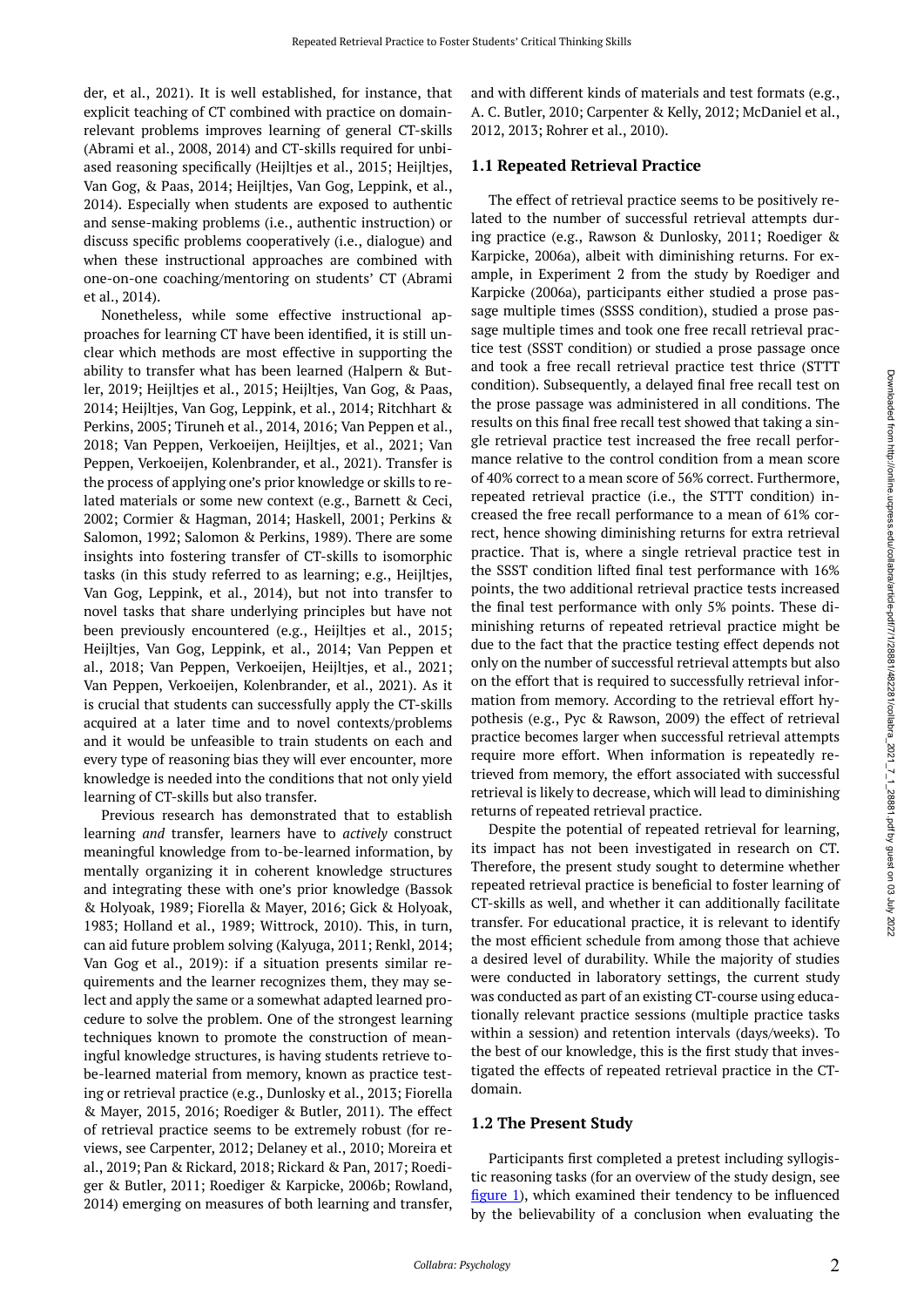der, et al., 2021). It is well established, for instance, that explicit teaching of CT combined with practice on domainrelevant problems improves learning of general CT-skills (Abrami et al., 2008, 2014) and CT-skills required for unbiased reasoning specifically (Heijltjes et al., 2015; Heijltjes, Van Gog, & Paas, 2014; Heijltjes, Van Gog, Leppink, et al., 2014). Especially when students are exposed to authentic and sense-making problems (i.e., authentic instruction) or discuss specific problems cooperatively (i.e., dialogue) and when these instructional approaches are combined with one-on-one coaching/mentoring on students' CT (Abrami et al., 2014).

Nonetheless, while some effective instructional approaches for learning CT have been identified, it is still unclear which methods are most effective in supporting the ability to transfer what has been learned (Halpern & Butler, 2019; Heijltjes et al., 2015; Heijltjes, Van Gog, & Paas, 2014; Heijltjes, Van Gog, Leppink, et al., 2014; Ritchhart & Perkins, 2005; Tiruneh et al., 2014, 2016; Van Peppen et al., 2018; Van Peppen, Verkoeijen, Heijltjes, et al., 2021; Van Peppen, Verkoeijen, Kolenbrander, et al., 2021). Transfer is the process of applying one's prior knowledge or skills to related materials or some new context (e.g., Barnett & Ceci, 2002; Cormier & Hagman, 2014; Haskell, 2001; Perkins & Salomon, 1992; Salomon & Perkins, 1989). There are some insights into fostering transfer of CT-skills to isomorphic tasks (in this study referred to as learning; e.g., Heijltjes, Van Gog, Leppink, et al., 2014), but not into transfer to novel tasks that share underlying principles but have not been previously encountered (e.g., Heijltjes et al., 2015; Heijltjes, Van Gog, Leppink, et al., 2014; Van Peppen et al., 2018; Van Peppen, Verkoeijen, Heijltjes, et al., 2021; Van Peppen, Verkoeijen, Kolenbrander, et al., 2021). As it is crucial that students can successfully apply the CT-skills acquired at a later time and to novel contexts/problems and it would be unfeasible to train students on each and every type of reasoning bias they will ever encounter, more knowledge is needed into the conditions that not only yield learning of CT-skills but also transfer.

Previous research has demonstrated that to establish learning *and* transfer, learners have to *actively* construct meaningful knowledge from to-be-learned information, by mentally organizing it in coherent knowledge structures and integrating these with one's prior knowledge (Bassok & Holyoak, 1989; Fiorella & Mayer, 2016; Gick & Holyoak, 1983; Holland et al., 1989; Wittrock, 2010). This, in turn, can aid future problem solving (Kalyuga, 2011; Renkl, 2014; Van Gog et al., 2019): if a situation presents similar requirements and the learner recognizes them, they may select and apply the same or a somewhat adapted learned procedure to solve the problem. One of the strongest learning techniques known to promote the construction of meaningful knowledge structures, is having students retrieve tobe-learned material from memory, known as practice testing or retrieval practice (e.g., Dunlosky et al., 2013; Fiorella & Mayer, 2015, 2016; Roediger & Butler, 2011). The effect of retrieval practice seems to be extremely robust (for reviews, see Carpenter, 2012; Delaney et al., 2010; Moreira et al., 2019; Pan & Rickard, 2018; Rickard & Pan, 2017; Roediger & Butler, 2011; Roediger & Karpicke, 2006b; Rowland, 2014) emerging on measures of both learning and transfer, and with different kinds of materials and test formats (e.g., A. C. Butler, 2010; Carpenter & Kelly, 2012; McDaniel et al., 2012, 2013; Rohrer et al., 2010).

#### **1.1 Repeated Retrieval Practice**

The effect of retrieval practice seems to be positively related to the number of successful retrieval attempts during practice (e.g., Rawson & Dunlosky, 2011; Roediger & Karpicke, 2006a), albeit with diminishing returns. For example, in Experiment 2 from the study by Roediger and Karpicke (2006a), participants either studied a prose passage multiple times (SSSS condition), studied a prose passage multiple times and took one free recall retrieval practice test (SSST condition) or studied a prose passage once and took a free recall retrieval practice test thrice (STTT condition). Subsequently, a delayed final free recall test on the prose passage was administered in all conditions. The results on this final free recall test showed that taking a single retrieval practice test increased the free recall performance relative to the control condition from a mean score of 40% correct to a mean score of 56% correct. Furthermore, repeated retrieval practice (i.e., the STTT condition) increased the free recall performance to a mean of 61% correct, hence showing diminishing returns for extra retrieval practice. That is, where a single retrieval practice test in the SSST condition lifted final test performance with 16% points, the two additional retrieval practice tests increased the final test performance with only 5% points. These diminishing returns of repeated retrieval practice might be due to the fact that the practice testing effect depends not only on the number of successful retrieval attempts but also on the effort that is required to successfully retrieval information from memory. According to the retrieval effort hypothesis (e.g., Pyc & Rawson, 2009) the effect of retrieval practice becomes larger when successful retrieval attempts require more effort. When information is repeatedly retrieved from memory, the effort associated with successful retrieval is likely to decrease, which will lead to diminishing returns of repeated retrieval practice.

Despite the potential of repeated retrieval for learning, its impact has not been investigated in research on CT. Therefore, the present study sought to determine whether repeated retrieval practice is beneficial to foster learning of CT-skills as well, and whether it can additionally facilitate transfer. For educational practice, it is relevant to identify the most efficient schedule from among those that achieve a desired level of durability. While the majority of studies were conducted in laboratory settings, the current study was conducted as part of an existing CT-course using educationally relevant practice sessions (multiple practice tasks within a session) and retention intervals (days/weeks). To the best of our knowledge, this is the first study that investigated the effects of repeated retrieval practice in the CTdomain.

#### **1.2 The Present Study**

Participants first completed a pretest including syllogistic reasoning tasks (for an overview of the study design, see [figure 1\)](#page-2-0), which examined their tendency to be influenced by the believability of a conclusion when evaluating the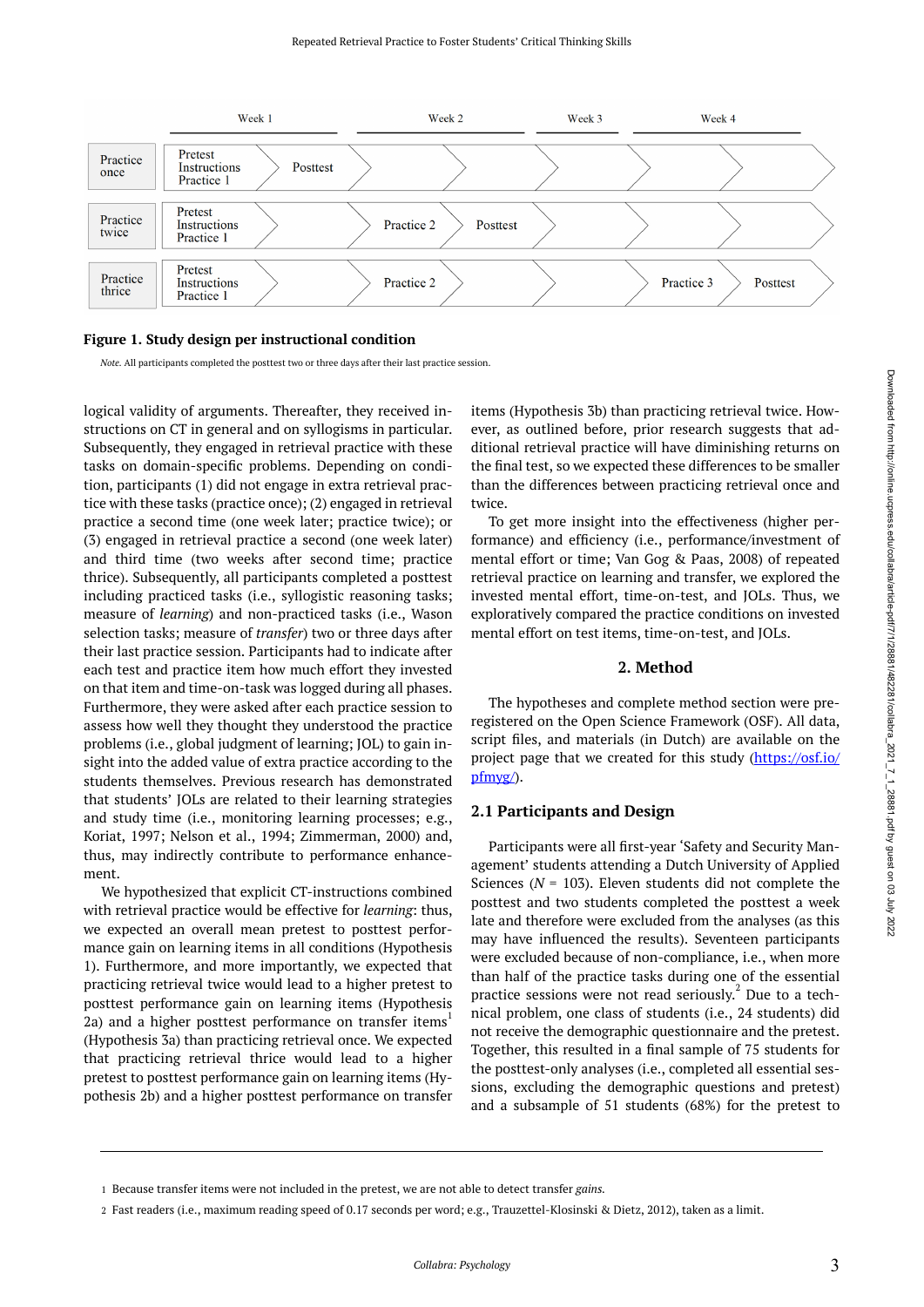<span id="page-2-0"></span>

#### **Figure 1. Study design per instructional condition**

*Note.* All participants completed the posttest two or three days after their last practice session.

logical validity of arguments. Thereafter, they received instructions on CT in general and on syllogisms in particular. Subsequently, they engaged in retrieval practice with these tasks on domain-specific problems. Depending on condition, participants (1) did not engage in extra retrieval practice with these tasks (practice once); (2) engaged in retrieval practice a second time (one week later; practice twice); or (3) engaged in retrieval practice a second (one week later) and third time (two weeks after second time; practice thrice). Subsequently, all participants completed a posttest including practiced tasks (i.e., syllogistic reasoning tasks; measure of *learning*) and non-practiced tasks (i.e., Wason selection tasks; measure of *transfer*) two or three days after their last practice session. Participants had to indicate after each test and practice item how much effort they invested on that item and time-on-task was logged during all phases. Furthermore, they were asked after each practice session to assess how well they thought they understood the practice problems (i.e., global judgment of learning; JOL) to gain insight into the added value of extra practice according to the students themselves. Previous research has demonstrated that students' JOLs are related to their learning strategies and study time (i.e., monitoring learning processes; e.g., Koriat, 1997; Nelson et al., 1994; Zimmerman, 2000) and, thus, may indirectly contribute to performance enhancement.

We hypothesized that explicit CT-instructions combined with retrieval practice would be effective for *learning*: thus, we expected an overall mean pretest to posttest performance gain on learning items in all conditions (Hypothesis 1). Furthermore, and more importantly, we expected that practicing retrieval twice would lead to a higher pretest to posttest performance gain on learning items (Hypothesis 2a) and a higher posttest performance on transfer items<sup>1</sup> (Hypothesis 3a) than practicing retrieval once. We expected that practicing retrieval thrice would lead to a higher pretest to posttest performance gain on learning items (Hypothesis 2b) and a higher posttest performance on transfer

items (Hypothesis 3b) than practicing retrieval twice. However, as outlined before, prior research suggests that additional retrieval practice will have diminishing returns on the final test, so we expected these differences to be smaller than the differences between practicing retrieval once and twice.

To get more insight into the effectiveness (higher performance) and efficiency (i.e., performance/investment of mental effort or time; Van Gog & Paas, 2008) of repeated retrieval practice on learning and transfer, we explored the invested mental effort, time-on-test, and JOLs. Thus, we exploratively compared the practice conditions on invested mental effort on test items, time-on-test, and JOLs.

#### **2. Method**

The hypotheses and complete method section were preregistered on the Open Science Framework (OSF). All data, script files, and materials (in Dutch) are available on the project page that we created for this study [\(https://osf.io/](https://osf.io/pfmyg/) [pfmyg/\)](https://osf.io/pfmyg/).

#### **2.1 Participants and Design**

Participants were all first-year 'Safety and Security Management' students attending a Dutch University of Applied Sciences (*N =* 103). Eleven students did not complete the posttest and two students completed the posttest a week late and therefore were excluded from the analyses (as this may have influenced the results). Seventeen participants were excluded because of non-compliance, i.e., when more than half of the practice tasks during one of the essential practice sessions were not read seriously.<sup>2</sup> Due to a technical problem, one class of students (i.e., 24 students) did not receive the demographic questionnaire and the pretest. Together, this resulted in a final sample of 75 students for the posttest-only analyses (i.e., completed all essential sessions, excluding the demographic questions and pretest) and a subsample of 51 students (68%) for the pretest to

Fast readers (i.e., maximum reading speed of 0.17 seconds per word; e.g., Trauzettel-Klosinski & Dietz, 2012), taken as a limit. 2

<sup>1</sup> Because transfer items were not included in the pretest, we are not able to detect transfer *gains*.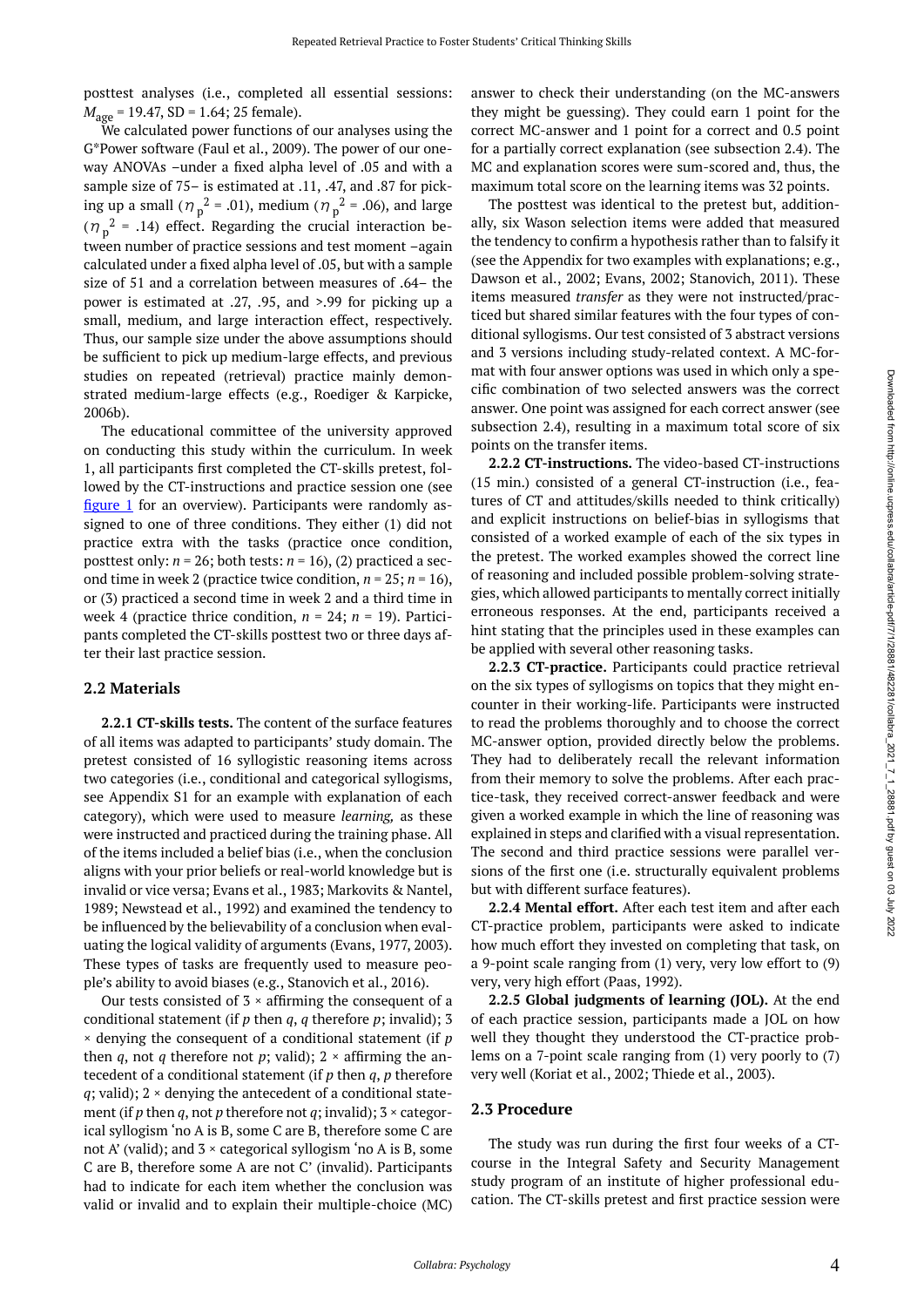posttest analyses (i.e., completed all essential sessions: *M*<sub>age</sub> = 19.47, SD = 1.64; 25 female).

We calculated power functions of our analyses using the G\*Power software (Faul et al., 2009). The power of our oneway ANOVAs –under a fixed alpha level of .05 and with a sample size of 75– is estimated at .11, .47, and .87 for picking up a small ( $\eta_p^2$  = .01), medium ( $\eta_p^2$  = .06), and large  $(\eta_p^2 = .14)$  effect. Regarding the crucial interaction between number of practice sessions and test moment –again calculated under a fixed alpha level of .05, but with a sample size of 51 and a correlation between measures of .64– the power is estimated at .27, .95, and >.99 for picking up a small, medium, and large interaction effect, respectively. Thus, our sample size under the above assumptions should be sufficient to pick up medium-large effects, and previous studies on repeated (retrieval) practice mainly demonstrated medium-large effects (e.g., Roediger & Karpicke, 2006b).

The educational committee of the university approved on conducting this study within the curriculum. In week 1, all participants first completed the CT-skills pretest, followed by the CT-instructions and practice session one (see [figure 1](#page-2-0) for an overview). Participants were randomly assigned to one of three conditions. They either (1) did not practice extra with the tasks (practice once condition, posttest only:  $n = 26$ ; both tests:  $n = 16$ ), (2) practiced a second time in week 2 (practice twice condition,  $n = 25$ ;  $n = 16$ ), or (3) practiced a second time in week 2 and a third time in week 4 (practice thrice condition, *n* = 24; *n* = 19). Participants completed the CT-skills posttest two or three days after their last practice session.

#### **2.2 Materials**

**2.2.1 CT-skills tests.** The content of the surface features of all items was adapted to participants' study domain. The pretest consisted of 16 syllogistic reasoning items across two categories (i.e., conditional and categorical syllogisms, see Appendix S1 for an example with explanation of each category), which were used to measure *learning,* as these were instructed and practiced during the training phase. All of the items included a belief bias (i.e., when the conclusion aligns with your prior beliefs or real-world knowledge but is invalid or vice versa; Evans et al., 1983; Markovits & Nantel, 1989; Newstead et al., 1992) and examined the tendency to be influenced by the believability of a conclusion when evaluating the logical validity of arguments (Evans, 1977, 2003). These types of tasks are frequently used to measure people's ability to avoid biases (e.g., Stanovich et al., 2016).

Our tests consisted of  $3 \times$  affirming the consequent of a conditional statement (if *p* then *q*, *q* therefore *p*; invalid); 3 × denying the consequent of a conditional statement (if *p*  then *q*, not *q* therefore not *p*; valid);  $2 \times$  affirming the antecedent of a conditional statement (if *p* then *q*, *p* therefore  $q$ ; valid);  $2 \times$  denying the antecedent of a conditional statement (if *p* then *q*, not *p* therefore not *q*; invalid);  $3 \times$  categorical syllogism 'no A is B, some C are B, therefore some C are not A' (valid); and  $3 \times$  categorical syllogism 'no A is B, some C are B, therefore some A are not C' (invalid). Participants had to indicate for each item whether the conclusion was valid or invalid and to explain their multiple-choice (MC)

answer to check their understanding (on the MC-answers they might be guessing). They could earn 1 point for the correct MC-answer and 1 point for a correct and 0.5 point for a partially correct explanation (see subsection 2.4). The MC and explanation scores were sum-scored and, thus, the maximum total score on the learning items was 32 points.

The posttest was identical to the pretest but, additionally, six Wason selection items were added that measured the tendency to confirm a hypothesis rather than to falsify it (see the Appendix for two examples with explanations; e.g., Dawson et al., 2002; Evans, 2002; Stanovich, 2011). These items measured *transfer* as they were not instructed/practiced but shared similar features with the four types of conditional syllogisms. Our test consisted of 3 abstract versions and 3 versions including study-related context. A MC-format with four answer options was used in which only a specific combination of two selected answers was the correct answer. One point was assigned for each correct answer (see subsection 2.4), resulting in a maximum total score of six points on the transfer items.

**2.2.2 CT-instructions.** The video-based CT-instructions (15 min.) consisted of a general CT-instruction (i.e., features of CT and attitudes/skills needed to think critically) and explicit instructions on belief-bias in syllogisms that consisted of a worked example of each of the six types in the pretest. The worked examples showed the correct line of reasoning and included possible problem-solving strategies, which allowed participants to mentally correct initially erroneous responses. At the end, participants received a hint stating that the principles used in these examples can be applied with several other reasoning tasks.

**2.2.3 CT-practice.** Participants could practice retrieval on the six types of syllogisms on topics that they might encounter in their working-life. Participants were instructed to read the problems thoroughly and to choose the correct MC-answer option, provided directly below the problems. They had to deliberately recall the relevant information from their memory to solve the problems. After each practice-task, they received correct-answer feedback and were given a worked example in which the line of reasoning was explained in steps and clarified with a visual representation. The second and third practice sessions were parallel versions of the first one (i.e. structurally equivalent problems but with different surface features).

**2.2.4 Mental effort.** After each test item and after each CT-practice problem, participants were asked to indicate how much effort they invested on completing that task, on a 9-point scale ranging from (1) very, very low effort to (9) very, very high effort (Paas, 1992).

**2.2.5 Global judgments of learning (JOL).** At the end of each practice session, participants made a JOL on how well they thought they understood the CT-practice problems on a 7-point scale ranging from (1) very poorly to (7) very well (Koriat et al., 2002; Thiede et al., 2003).

#### **2.3 Procedure**

The study was run during the first four weeks of a CTcourse in the Integral Safety and Security Management study program of an institute of higher professional education. The CT-skills pretest and first practice session were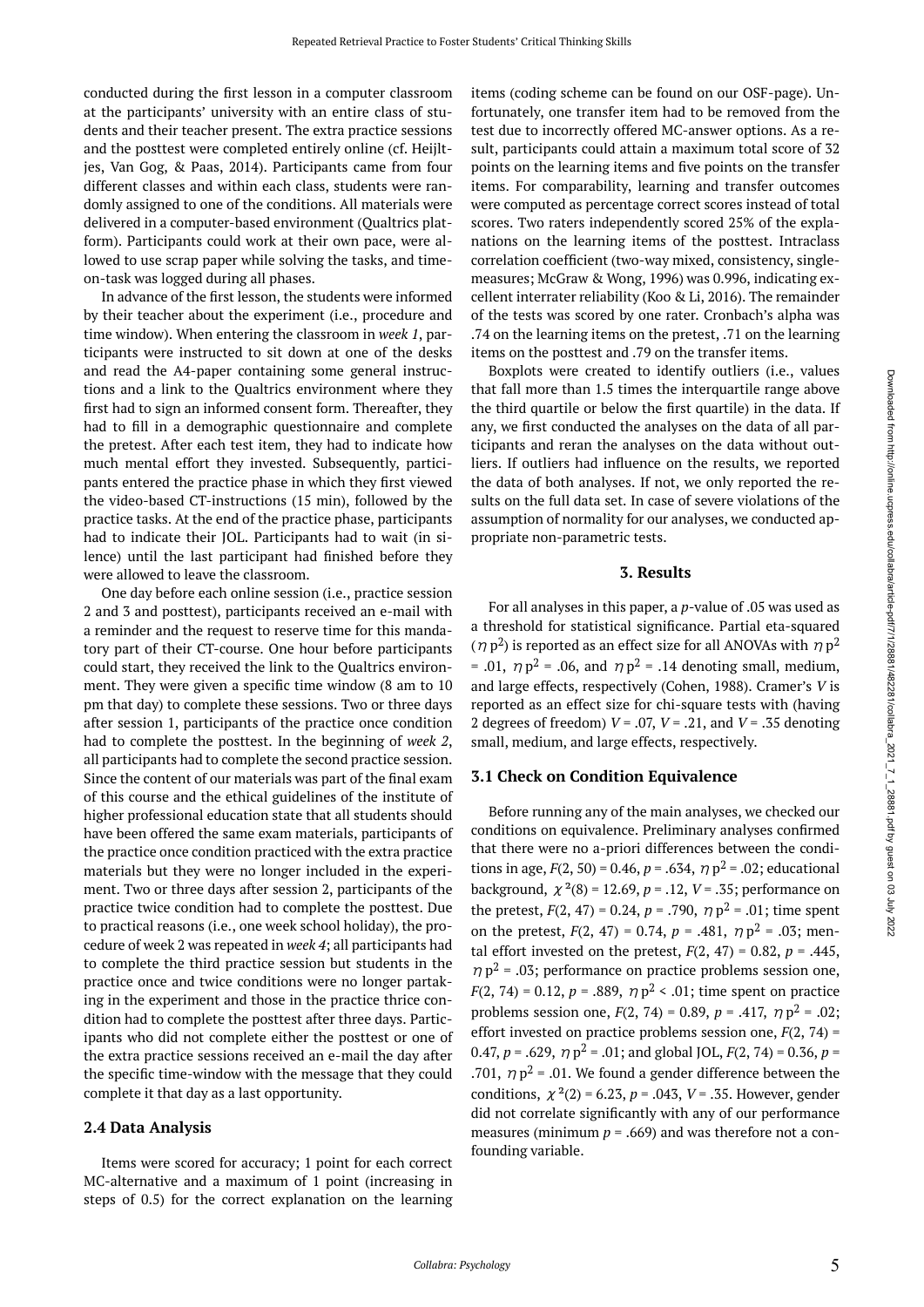conducted during the first lesson in a computer classroom at the participants' university with an entire class of students and their teacher present. The extra practice sessions and the posttest were completed entirely online (cf. Heijltjes, Van Gog, & Paas, 2014). Participants came from four different classes and within each class, students were randomly assigned to one of the conditions. All materials were delivered in a computer-based environment (Qualtrics platform). Participants could work at their own pace, were allowed to use scrap paper while solving the tasks, and timeon-task was logged during all phases.

In advance of the first lesson, the students were informed by their teacher about the experiment (i.e., procedure and time window). When entering the classroom in *week 1*, participants were instructed to sit down at one of the desks and read the A4-paper containing some general instructions and a link to the Qualtrics environment where they first had to sign an informed consent form. Thereafter, they had to fill in a demographic questionnaire and complete the pretest. After each test item, they had to indicate how much mental effort they invested. Subsequently, participants entered the practice phase in which they first viewed the video-based CT-instructions (15 min), followed by the practice tasks. At the end of the practice phase, participants had to indicate their JOL. Participants had to wait (in silence) until the last participant had finished before they were allowed to leave the classroom.

One day before each online session (i.e., practice session 2 and 3 and posttest), participants received an e-mail with a reminder and the request to reserve time for this mandatory part of their CT-course. One hour before participants could start, they received the link to the Qualtrics environment. They were given a specific time window (8 am to 10 pm that day) to complete these sessions. Two or three days after session 1, participants of the practice once condition had to complete the posttest. In the beginning of *week 2*, all participants had to complete the second practice session. Since the content of our materials was part of the final exam of this course and the ethical guidelines of the institute of higher professional education state that all students should have been offered the same exam materials, participants of the practice once condition practiced with the extra practice materials but they were no longer included in the experiment. Two or three days after session 2, participants of the practice twice condition had to complete the posttest. Due to practical reasons (i.e., one week school holiday), the procedure of week 2 was repeated in *week 4*; all participants had to complete the third practice session but students in the practice once and twice conditions were no longer partaking in the experiment and those in the practice thrice condition had to complete the posttest after three days. Participants who did not complete either the posttest or one of the extra practice sessions received an e-mail the day after the specific time-window with the message that they could complete it that day as a last opportunity.

### **2.4 Data Analysis**

Items were scored for accuracy; 1 point for each correct MC-alternative and a maximum of 1 point (increasing in steps of 0.5) for the correct explanation on the learning items (coding scheme can be found on our OSF-page). Unfortunately, one transfer item had to be removed from the test due to incorrectly offered MC-answer options. As a result, participants could attain a maximum total score of 32 points on the learning items and five points on the transfer items. For comparability, learning and transfer outcomes were computed as percentage correct scores instead of total scores. Two raters independently scored 25% of the explanations on the learning items of the posttest. Intraclass correlation coefficient (two-way mixed, consistency, singlemeasures; McGraw & Wong, 1996) was 0.996, indicating excellent interrater reliability (Koo & Li, 2016). The remainder of the tests was scored by one rater. Cronbach's alpha was .74 on the learning items on the pretest, .71 on the learning items on the posttest and .79 on the transfer items.

Boxplots were created to identify outliers (i.e., values that fall more than 1.5 times the interquartile range above the third quartile or below the first quartile) in the data. If any, we first conducted the analyses on the data of all participants and reran the analyses on the data without outliers. If outliers had influence on the results, we reported the data of both analyses. If not, we only reported the results on the full data set. In case of severe violations of the assumption of normality for our analyses, we conducted appropriate non-parametric tests.

#### **3. Results**

For all analyses in this paper, a *p*-value of .05 was used as a threshold for statistical significance. Partial eta-squared  $(\eta p^2)$  is reported as an effect size for all ANOVAs with  $\eta p^2$ = .01,  $\eta p^2$  = .06, and  $\eta p^2$  = .14 denoting small, medium, and large effects, respectively (Cohen, 1988). Cramer's *V* is reported as an effect size for chi-square tests with (having 2 degrees of freedom) *V* = .07, *V* = .21, and *V* = .35 denoting small, medium, and large effects, respectively.

#### **3.1 Check on Condition Equivalence**

Before running any of the main analyses, we checked our conditions on equivalence. Preliminary analyses confirmed that there were no a-priori differences between the conditions in age,  $F(2, 50) = 0.46$ ,  $p = .634$ ,  $\eta p^2 = .02$ ; educational background,  $\chi^2(8) = 12.69$ ,  $p = .12$ ,  $V = .35$ ; performance on the pretest,  $F(2, 47) = 0.24$ ,  $p = .790$ ,  $\eta p^2 = .01$ ; time spent on the pretest,  $F(2, 47) = 0.74$ ,  $p = .481$ ,  $\eta p^2 = .03$ ; mental effort invested on the pretest,  $F(2, 47) = 0.82$ ,  $p = .445$ ,  $\eta$   $p^2$  = .03; performance on practice problems session one, *F*(2, 74) = 0.12, *p* = .889,  $\eta$   $p^2$  < .01; time spent on practice problems session one,  $F(2, 74) = 0.89$ ,  $p = .417$ ,  $\eta p^2 = .02$ ; effort invested on practice problems session one, *F*(2, 74) = 0.47,  $p = .629$ ,  $\eta p^2 = .01$ ; and global JOL,  $F(2, 74) = 0.36$ ,  $p =$ .701,  $\eta p^2$  = .01. We found a gender difference between the conditions,  $\chi^2(2) = 6.23$ ,  $p = .043$ ,  $V = .35$ . However, gender did not correlate significantly with any of our performance measures (minimum  $p = .669$ ) and was therefore not a confounding variable.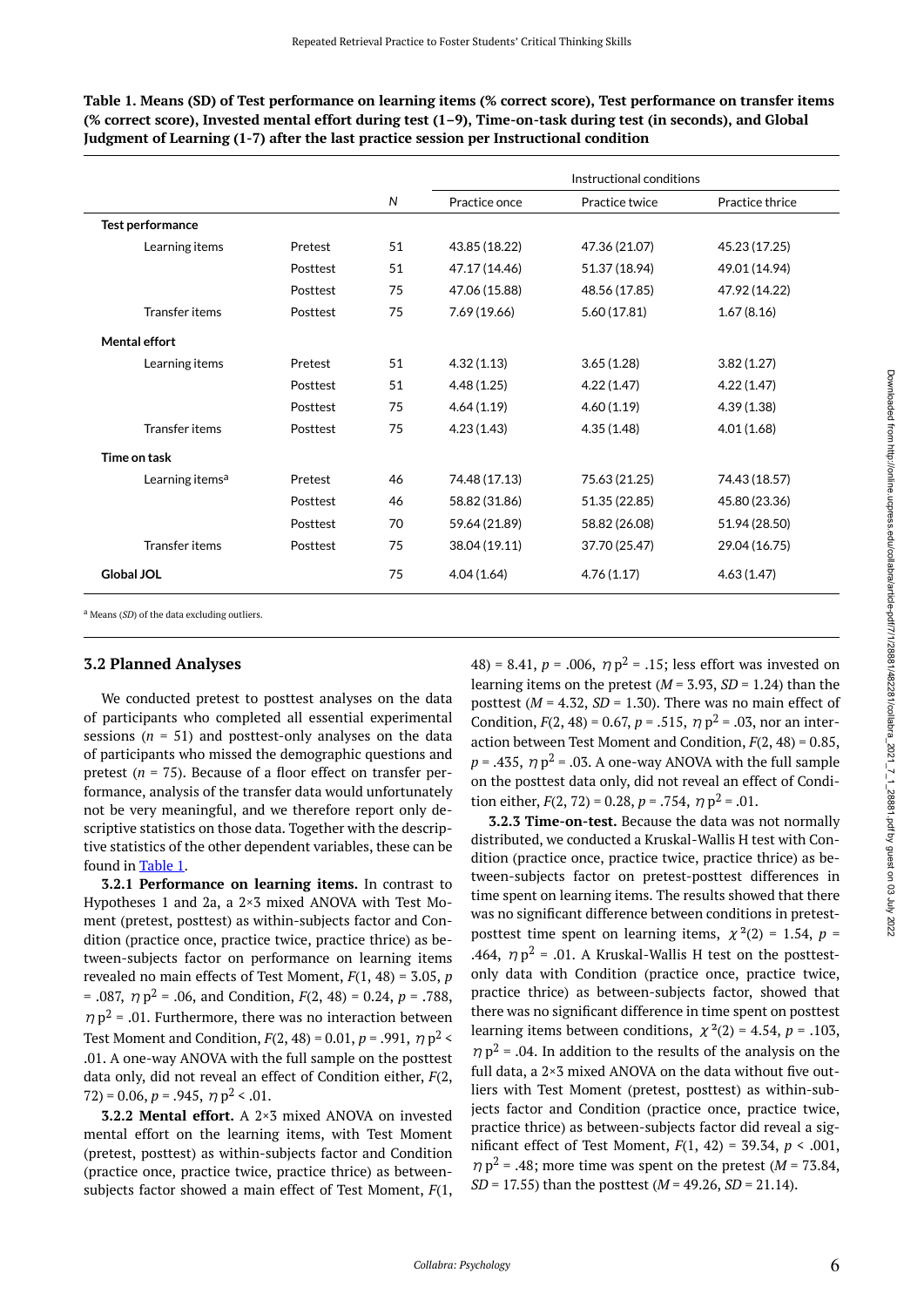<span id="page-5-0"></span>**Table 1. Means (SD) of Test performance on learning items (% correct score), Test performance on transfer items (% correct score), Invested mental effort during test (1–9), Time-on-task during test (in seconds), and Global Judgment of Learning (1-7) after the last practice session per Instructional condition** 

|                             |          |    | Instructional conditions |                |                 |  |
|-----------------------------|----------|----|--------------------------|----------------|-----------------|--|
|                             |          | N  | Practice once            | Practice twice | Practice thrice |  |
| Test performance            |          |    |                          |                |                 |  |
| Learning items              | Pretest  | 51 | 43.85 (18.22)            | 47.36 (21.07)  | 45.23 (17.25)   |  |
|                             | Posttest | 51 | 47.17 (14.46)            | 51.37 (18.94)  | 49.01 (14.94)   |  |
|                             | Posttest | 75 | 47.06 (15.88)            | 48.56 (17.85)  | 47.92 (14.22)   |  |
| Transfer items              | Posttest | 75 | 7.69 (19.66)             | 5.60 (17.81)   | 1.67(8.16)      |  |
| Mental effort               |          |    |                          |                |                 |  |
| Learning items              | Pretest  | 51 | 4.32(1.13)               | 3.65(1.28)     | 3.82(1.27)      |  |
|                             | Posttest | 51 | 4.48(1.25)               | 4.22(1.47)     | 4.22(1.47)      |  |
|                             | Posttest | 75 | 4.64(1.19)               | 4.60(1.19)     | 4.39(1.38)      |  |
| Transfer items              | Posttest | 75 | 4.23(1.43)               | 4.35(1.48)     | 4.01(1.68)      |  |
| Time on task                |          |    |                          |                |                 |  |
| Learning items <sup>a</sup> | Pretest  | 46 | 74.48 (17.13)            | 75.63 (21.25)  | 74.43 (18.57)   |  |
|                             | Posttest | 46 | 58.82 (31.86)            | 51.35 (22.85)  | 45.80 (23.36)   |  |
|                             | Posttest | 70 | 59.64 (21.89)            | 58.82 (26.08)  | 51.94 (28.50)   |  |
| <b>Transfer items</b>       | Posttest | 75 | 38.04 (19.11)            | 37.70 (25.47)  | 29.04 (16.75)   |  |
| <b>Global JOL</b>           |          | 75 | 4.04(1.64)               | 4.76(1.17)     | 4.63(1.47)      |  |

<sup>a</sup> Means (*SD*) of the data excluding outliers

### **3.2 Planned Analyses**

We conducted pretest to posttest analyses on the data of participants who completed all essential experimental sessions (*n* = 51) and posttest-only analyses on the data of participants who missed the demographic questions and pretest (*n* = 75). Because of a floor effect on transfer performance, analysis of the transfer data would unfortunately not be very meaningful, and we therefore report only descriptive statistics on those data. Together with the descriptive statistics of the other dependent variables, these can be found in [Table 1.](#page-5-0)

**3.2.1 Performance on learning items.** In contrast to Hypotheses 1 and 2a, a 2×3 mixed ANOVA with Test Moment (pretest, posttest) as within-subjects factor and Condition (practice once, practice twice, practice thrice) as between-subjects factor on performance on learning items revealed no main effects of Test Moment, *F*(1, 48) = 3.05, *p*   $= .087, \eta p^2 = .06, \text{ and Condition}, F(2, 48) = 0.24, p = .788,$  $\eta$   $p^2$  = .01. Furthermore, there was no interaction between Test Moment and Condition,  $F(2, 48) = 0.01$ ,  $p = .991$ ,  $\eta p^2 <$ .01. A one-way ANOVA with the full sample on the posttest data only, did not reveal an effect of Condition either, *F*(2,  $72$ ) = 0.06, *p* = .945,  $\eta$  p<sup>2</sup> < .01.

**3.2.2 Mental effort.** A 2×3 mixed ANOVA on invested mental effort on the learning items, with Test Moment (pretest, posttest) as within-subjects factor and Condition (practice once, practice twice, practice thrice) as betweensubjects factor showed a main effect of Test Moment, *F*(1, 48) = 8.41,  $p = .006$ ,  $\eta p^2 = .15$ ; less effort was invested on learning items on the pretest  $(M = 3.93, SD = 1.24)$  than the posttest  $(M = 4.32, SD = 1.30)$ . There was no main effect of Condition,  $F(2, 48) = 0.67$ ,  $p = .515$ ,  $\eta p^2 = .03$ , nor an interaction between Test Moment and Condition, *F*(2, 48) = 0.85,  $p = .435$ ,  $\eta p^2 = .03$ . A one-way ANOVA with the full sample on the posttest data only, did not reveal an effect of Condition either,  $F(2, 72) = 0.28$ ,  $p = .754$ ,  $\eta p^2 = .01$ .

**3.2.3 Time-on-test.** Because the data was not normally distributed, we conducted a Kruskal-Wallis H test with Condition (practice once, practice twice, practice thrice) as between-subjects factor on pretest-posttest differences in time spent on learning items. The results showed that there was no significant difference between conditions in pretestposttest time spent on learning items,  $\chi^2(2) = 1.54$ ,  $p =$ .464,  $\eta p^2$  = .01. A Kruskal-Wallis H test on the posttestonly data with Condition (practice once, practice twice, practice thrice) as between-subjects factor, showed that there was no significant difference in time spent on posttest learning items between conditions,  $\chi^2(2) = 4.54$ ,  $p = .103$ ,  $\eta$   $p^2$  = .04. In addition to the results of the analysis on the full data, a 2×3 mixed ANOVA on the data without five outliers with Test Moment (pretest, posttest) as within-subjects factor and Condition (practice once, practice twice, practice thrice) as between-subjects factor did reveal a significant effect of Test Moment, *F*(1, 42) = 39.34, *p* < .001,  $\eta$   $p^2$  = .48; more time was spent on the pretest (*M* = 73.84, *SD* = 17.55) than the posttest (*M* = 49.26, *SD* = 21.14).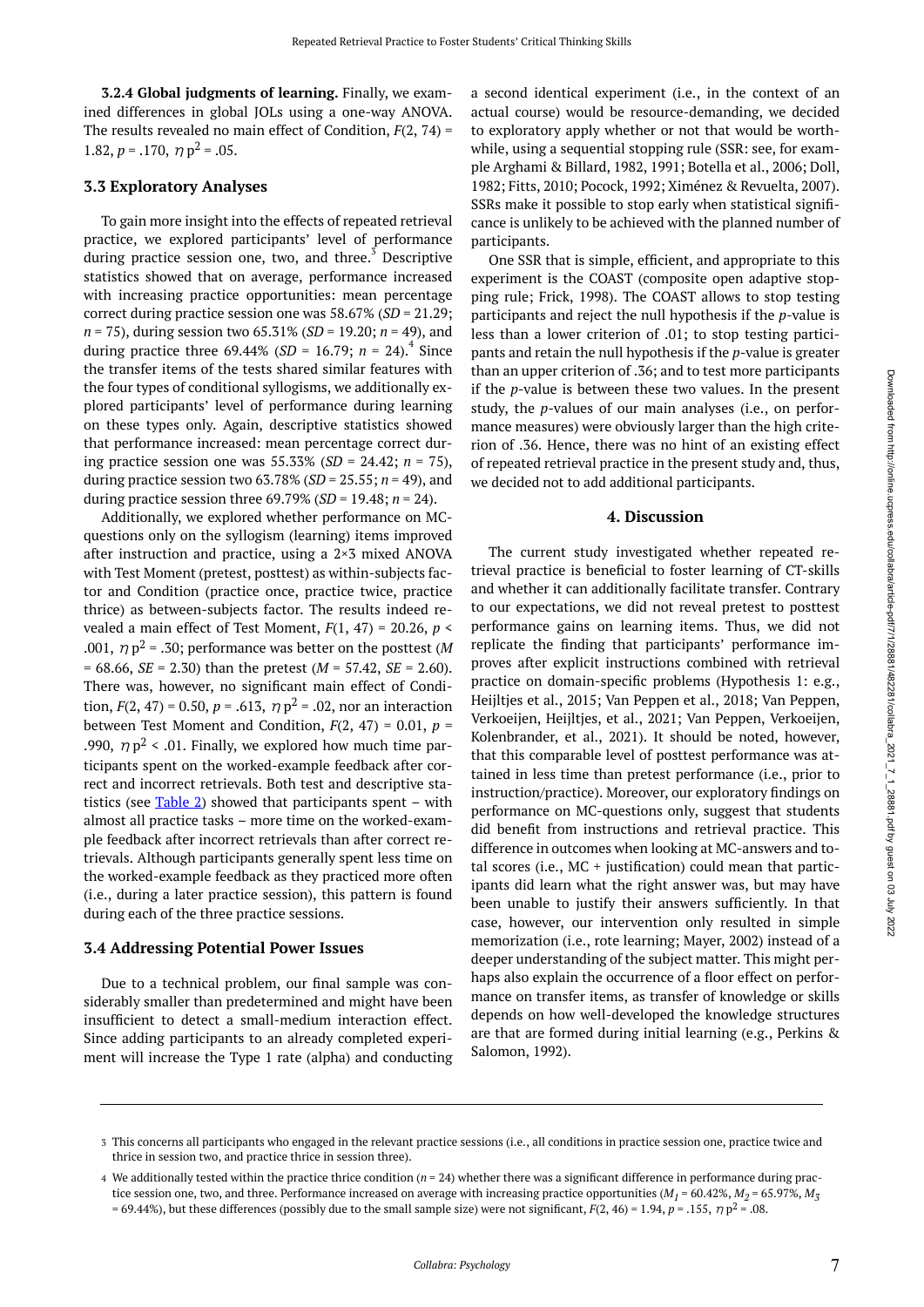**3.2.4 Global judgments of learning.** Finally, we examined differences in global JOLs using a one-way ANOVA. The results revealed no main effect of Condition, *F*(2, 74) = 1.82,  $p = .170$ ,  $\eta p^2 = .05$ .

### **3.3 Exploratory Analyses**

To gain more insight into the effects of repeated retrieval practice, we explored participants' level of performance during practice session one, two, and three. $3$  Descriptive statistics showed that on average, performance increased with increasing practice opportunities: mean percentage correct during practice session one was 58.67% (*SD* = 21.29; *n =* 75), during session two 65.31% (*SD* = 19.20; *n =* 49), and during practice three  $69.44\%$  (*SD* = 16.79; *n* = 24).<sup>4</sup> Since the transfer items of the tests shared similar features with the four types of conditional syllogisms, we additionally explored participants' level of performance during learning on these types only. Again, descriptive statistics showed that performance increased: mean percentage correct during practice session one was 55.33% (*SD* = 24.42; *n =* 75), during practice session two 63.78% (*SD* = 25.55; *n =* 49), and during practice session three 69.79% (*SD* = 19.48; *n =* 24).

Additionally, we explored whether performance on MCquestions only on the syllogism (learning) items improved after instruction and practice, using a 2×3 mixed ANOVA with Test Moment (pretest, posttest) as within-subjects factor and Condition (practice once, practice twice, practice thrice) as between-subjects factor. The results indeed revealed a main effect of Test Moment, *F*(1, 47) = 20.26, *p* < .001,  $\eta p^2$  = .30; performance was better on the posttest (*M* = 68.66, *SE* = 2.30) than the pretest (*M* = 57.42, *SE* = 2.60). There was, however, no significant main effect of Condition,  $F(2, 47) = 0.50$ ,  $p = .613$ ,  $\eta p^2 = .02$ , nor an interaction between Test Moment and Condition,  $F(2, 47) = 0.01$ ,  $p =$ .990,  $\eta$   $p^2$  < .01. Finally, we explored how much time participants spent on the worked-example feedback after correct and incorrect retrievals. Both test and descriptive statistics (see  $Table 2$ ) showed that participants spent – with almost all practice tasks – more time on the worked-example feedback after incorrect retrievals than after correct retrievals. Although participants generally spent less time on the worked-example feedback as they practiced more often (i.e., during a later practice session), this pattern is found during each of the three practice sessions.

#### **3.4 Addressing Potential Power Issues**

Due to a technical problem, our final sample was considerably smaller than predetermined and might have been insufficient to detect a small-medium interaction effect. Since adding participants to an already completed experiment will increase the Type 1 rate (alpha) and conducting a second identical experiment (i.e., in the context of an actual course) would be resource-demanding, we decided to exploratory apply whether or not that would be worthwhile, using a sequential stopping rule (SSR: see, for example Arghami & Billard, 1982, 1991; Botella et al., 2006; Doll, 1982; Fitts, 2010; Pocock, 1992; Ximénez & Revuelta, 2007). SSRs make it possible to stop early when statistical significance is unlikely to be achieved with the planned number of participants.

One SSR that is simple, efficient, and appropriate to this experiment is the COAST (composite open adaptive stopping rule; Frick, 1998). The COAST allows to stop testing participants and reject the null hypothesis if the *p*-value is less than a lower criterion of .01; to stop testing participants and retain the null hypothesis if the *p*-value is greater than an upper criterion of .36; and to test more participants if the *p*-value is between these two values. In the present study, the *p*-values of our main analyses (i.e., on performance measures) were obviously larger than the high criterion of .36. Hence, there was no hint of an existing effect of repeated retrieval practice in the present study and, thus, we decided not to add additional participants.

#### **4. Discussion**

The current study investigated whether repeated retrieval practice is beneficial to foster learning of CT-skills and whether it can additionally facilitate transfer. Contrary to our expectations, we did not reveal pretest to posttest performance gains on learning items. Thus, we did not replicate the finding that participants' performance improves after explicit instructions combined with retrieval practice on domain-specific problems (Hypothesis 1: e.g., Heijltjes et al., 2015; Van Peppen et al., 2018; Van Peppen, Verkoeijen, Heijltjes, et al., 2021; Van Peppen, Verkoeijen, Kolenbrander, et al., 2021). It should be noted, however, that this comparable level of posttest performance was attained in less time than pretest performance (i.e., prior to instruction/practice). Moreover, our exploratory findings on performance on MC-questions only, suggest that students did benefit from instructions and retrieval practice. This difference in outcomes when looking at MC-answers and total scores (i.e.,  $MC +$  justification) could mean that participants did learn what the right answer was, but may have been unable to justify their answers sufficiently. In that case, however, our intervention only resulted in simple memorization (i.e., rote learning; Mayer, 2002) instead of a deeper understanding of the subject matter. This might perhaps also explain the occurrence of a floor effect on performance on transfer items, as transfer of knowledge or skills depends on how well-developed the knowledge structures are that are formed during initial learning (e.g., Perkins & Salomon, 1992).

This concerns all participants who engaged in the relevant practice sessions (i.e., all conditions in practice session one, practice twice and 3 thrice in session two, and practice thrice in session three).

We additionally tested within the practice thrice condition (*n =* 24) whether there was a significant difference in performance during prac-4 tice session one, two, and three. Performance increased on average with increasing practice opportunities (M<sub>1</sub> = 60.42%, M<sub>2</sub> = 65.97%, M<sub>3</sub>  $= 69.44\%$ ), but these differences (possibly due to the small sample size) were not significant,  $F(2, 46) = 1.94$ ,  $p = .155$ ,  $\eta p^2 = .08$ .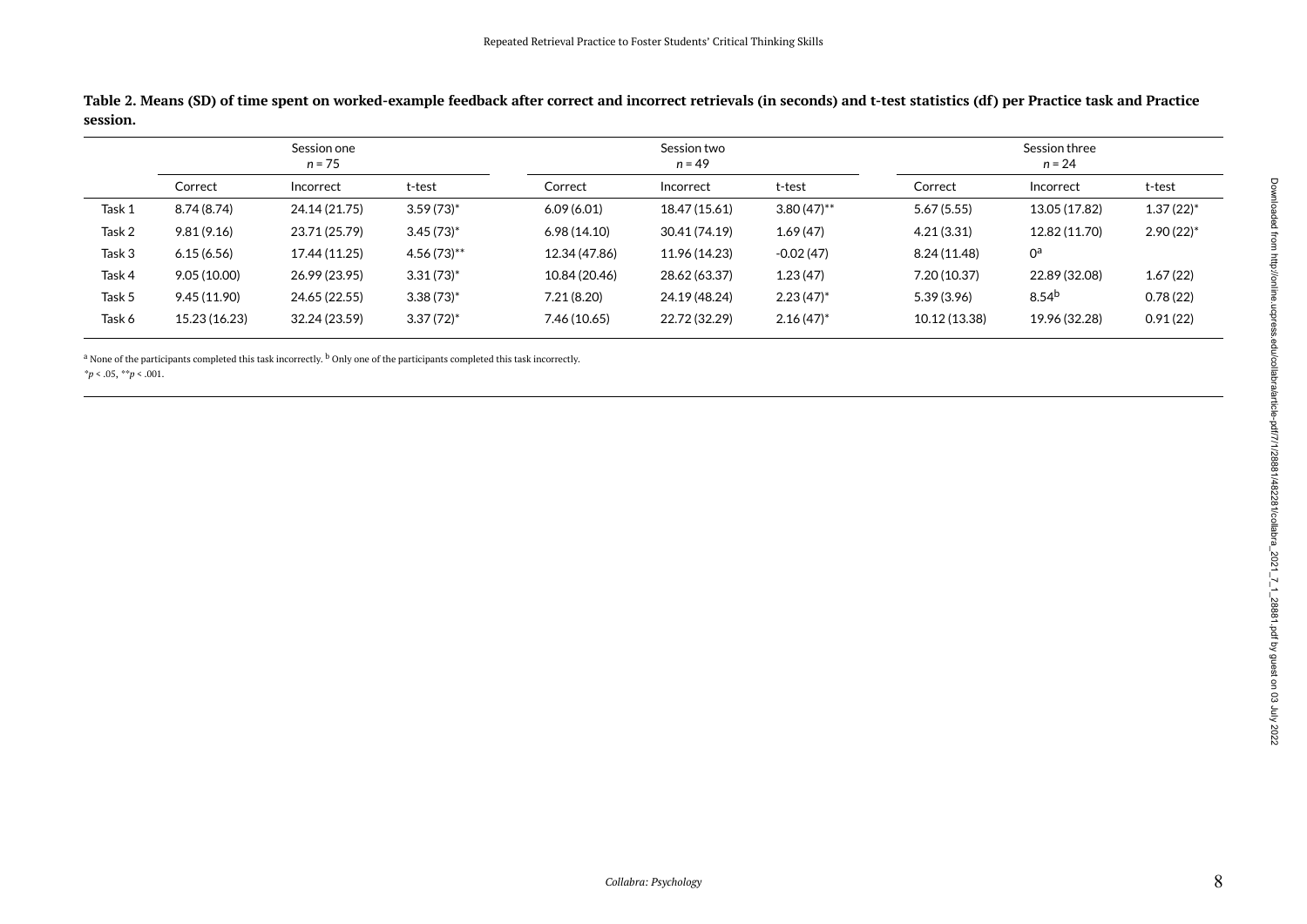**Table 2. Means (SD) of time spent on worked-example feedback after correct and incorrect retrievals (in seconds) and t-test statistics (df) per Practice task and Practice session.** 

|        | Session one<br>$n = 75$ |               |                | Session two<br>$n = 49$ |               |               | Session three<br>$n = 24$ |                   |                         |
|--------|-------------------------|---------------|----------------|-------------------------|---------------|---------------|---------------------------|-------------------|-------------------------|
|        | Correct                 | Incorrect     | t-test         | Correct                 | Incorrect     | t-test        | Correct                   | Incorrect         | t-test                  |
| Task 1 | 8.74 (8.74)             | 24.14 (21.75) | $3.59(73)^{*}$ | 6.09(6.01)              | 18.47 (15.61) | $3.80(47)$ ** | 5.67(5.55)                | 13.05 (17.82)     | $1.37(22)^{*}$          |
| Task 2 | 9.81(9.16)              | 23.71 (25.79) | $3.45(73)^{*}$ | 6.98(14.10)             | 30.41 (74.19) | 1.69(47)      | 4.21(3.31)                | 12.82 (11.70)     | $2.90(22)$ <sup>*</sup> |
| Task 3 | 6.15(6.56)              | 17.44 (11.25) | $4.56(73)$ **  | 12.34 (47.86)           | 11.96 (14.23) | $-0.02(47)$   | 8.24 (11.48)              | $0^{\mathsf{a}}$  |                         |
| Task 4 | 9.05(10.00)             | 26.99 (23.95) | $3.31(73)^{*}$ | 10.84 (20.46)           | 28.62 (63.37) | 1.23(47)      | 7.20(10.37)               | 22.89 (32.08)     | 1.67(22)                |
| Task 5 | 9.45 (11.90)            | 24.65 (22.55) | $3.38(73)^{*}$ | 7.21(8.20)              | 24.19 (48.24) | $2.23(47)^*$  | 5.39(3.96)                | 8.54 <sup>b</sup> | 0.78(22)                |
| Task 6 | 15.23 (16.23)           | 32.24 (23.59) | $3.37(72)^{*}$ | 7.46 (10.65)            | 22.72 (32.29) | $2.16(47)^*$  | 10.12 (13.38)             | 19.96 (32.28)     | 0.91(22)                |

<sup>a</sup> None of the participants completed this task incorrectly. <sup>b</sup> Only one of the participants completed this task incorrectly.

<span id="page-7-0"></span>*\*p* < .05, *\*\*p* < .001.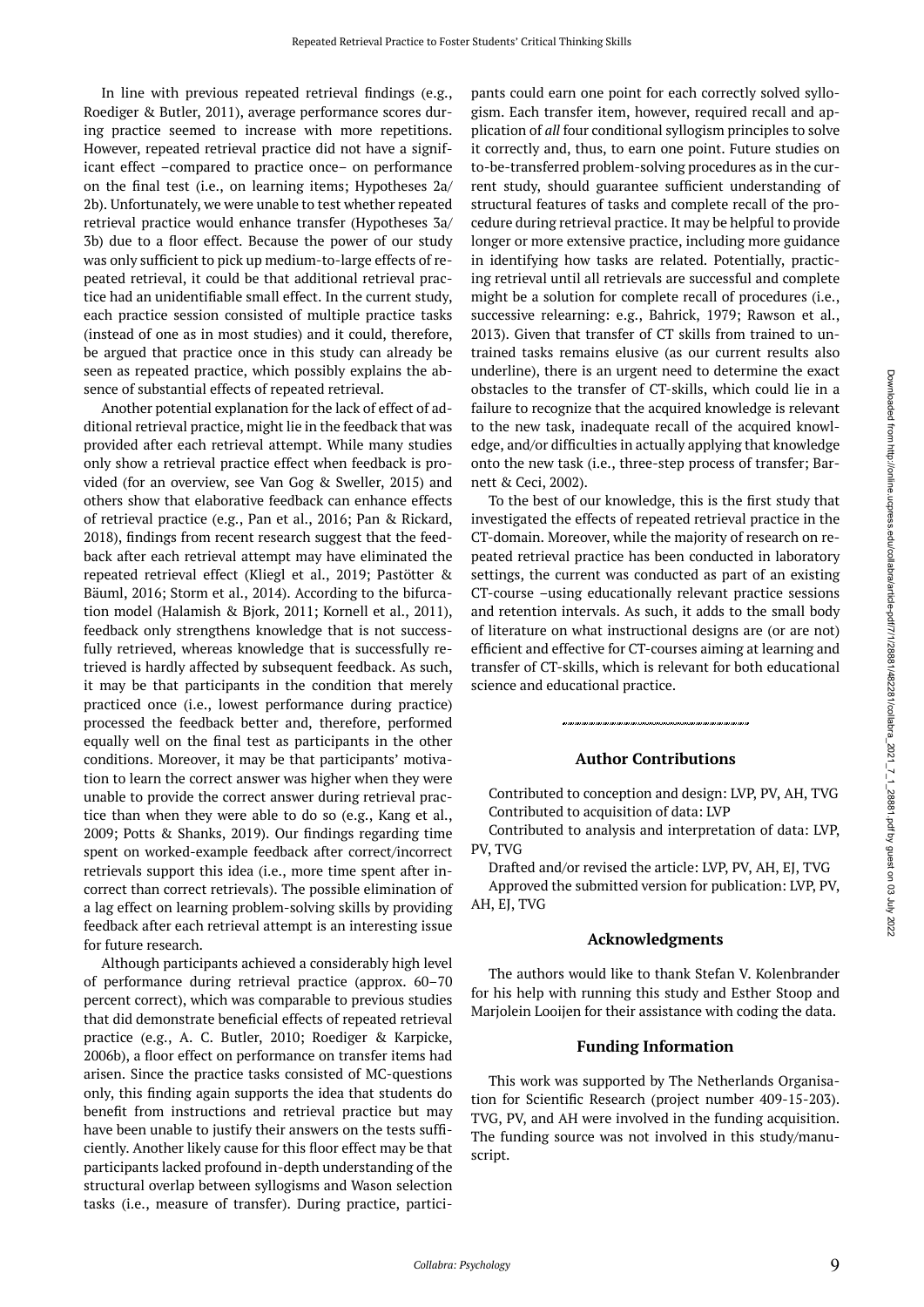In line with previous repeated retrieval findings (e.g., Roediger & Butler, 2011), average performance scores during practice seemed to increase with more repetitions. However, repeated retrieval practice did not have a significant effect –compared to practice once– on performance on the final test (i.e., on learning items; Hypotheses 2a/ 2b). Unfortunately, we were unable to test whether repeated retrieval practice would enhance transfer (Hypotheses 3a/ 3b) due to a floor effect. Because the power of our study was only sufficient to pick up medium-to-large effects of repeated retrieval, it could be that additional retrieval practice had an unidentifiable small effect. In the current study, each practice session consisted of multiple practice tasks (instead of one as in most studies) and it could, therefore, be argued that practice once in this study can already be seen as repeated practice, which possibly explains the absence of substantial effects of repeated retrieval.

Another potential explanation for the lack of effect of additional retrieval practice, might lie in the feedback that was provided after each retrieval attempt. While many studies only show a retrieval practice effect when feedback is provided (for an overview, see Van Gog & Sweller, 2015) and others show that elaborative feedback can enhance effects of retrieval practice (e.g., Pan et al., 2016; Pan & Rickard, 2018), findings from recent research suggest that the feedback after each retrieval attempt may have eliminated the repeated retrieval effect (Kliegl et al., 2019; Pastötter & Bäuml, 2016; Storm et al., 2014). According to the bifurcation model (Halamish & Bjork, 2011; Kornell et al., 2011), feedback only strengthens knowledge that is not successfully retrieved, whereas knowledge that is successfully retrieved is hardly affected by subsequent feedback. As such, it may be that participants in the condition that merely practiced once (i.e., lowest performance during practice) processed the feedback better and, therefore, performed equally well on the final test as participants in the other conditions. Moreover, it may be that participants' motivation to learn the correct answer was higher when they were unable to provide the correct answer during retrieval practice than when they were able to do so (e.g., Kang et al., 2009; Potts & Shanks, 2019). Our findings regarding time spent on worked-example feedback after correct/incorrect retrievals support this idea (i.e., more time spent after incorrect than correct retrievals). The possible elimination of a lag effect on learning problem-solving skills by providing feedback after each retrieval attempt is an interesting issue for future research.

Although participants achieved a considerably high level of performance during retrieval practice (approx. 60–70 percent correct), which was comparable to previous studies that did demonstrate beneficial effects of repeated retrieval practice (e.g., A. C. Butler, 2010; Roediger & Karpicke, 2006b), a floor effect on performance on transfer items had arisen. Since the practice tasks consisted of MC-questions only, this finding again supports the idea that students do benefit from instructions and retrieval practice but may have been unable to justify their answers on the tests sufficiently. Another likely cause for this floor effect may be that participants lacked profound in-depth understanding of the structural overlap between syllogisms and Wason selection tasks (i.e., measure of transfer). During practice, participants could earn one point for each correctly solved syllogism. Each transfer item, however, required recall and application of *all* four conditional syllogism principles to solve it correctly and, thus, to earn one point. Future studies on to-be-transferred problem-solving procedures as in the current study, should guarantee sufficient understanding of structural features of tasks and complete recall of the procedure during retrieval practice. It may be helpful to provide longer or more extensive practice, including more guidance in identifying how tasks are related. Potentially, practicing retrieval until all retrievals are successful and complete might be a solution for complete recall of procedures (i.e., successive relearning: e.g., Bahrick, 1979; Rawson et al., 2013). Given that transfer of CT skills from trained to untrained tasks remains elusive (as our current results also underline), there is an urgent need to determine the exact obstacles to the transfer of CT-skills, which could lie in a failure to recognize that the acquired knowledge is relevant to the new task, inadequate recall of the acquired knowledge, and/or difficulties in actually applying that knowledge onto the new task (i.e., three-step process of transfer; Barnett & Ceci, 2002).

To the best of our knowledge, this is the first study that investigated the effects of repeated retrieval practice in the CT-domain. Moreover, while the majority of research on repeated retrieval practice has been conducted in laboratory settings, the current was conducted as part of an existing CT-course –using educationally relevant practice sessions and retention intervals. As such, it adds to the small body of literature on what instructional designs are (or are not) efficient and effective for CT-courses aiming at learning and transfer of CT-skills, which is relevant for both educational science and educational practice.

### **Author Contributions**

Contributed to conception and design: LVP, PV, AH, TVG Contributed to acquisition of data: LVP

Contributed to analysis and interpretation of data: LVP, PV, TVG

Drafted and/or revised the article: LVP, PV, AH, EJ, TVG Approved the submitted version for publication: LVP, PV, AH, EJ, TVG

#### **Acknowledgments**

The authors would like to thank Stefan V. Kolenbrander for his help with running this study and Esther Stoop and Marjolein Looijen for their assistance with coding the data.

#### **Funding Information**

This work was supported by The Netherlands Organisation for Scientific Research (project number 409-15-203). TVG, PV, and AH were involved in the funding acquisition. The funding source was not involved in this study/manuscript.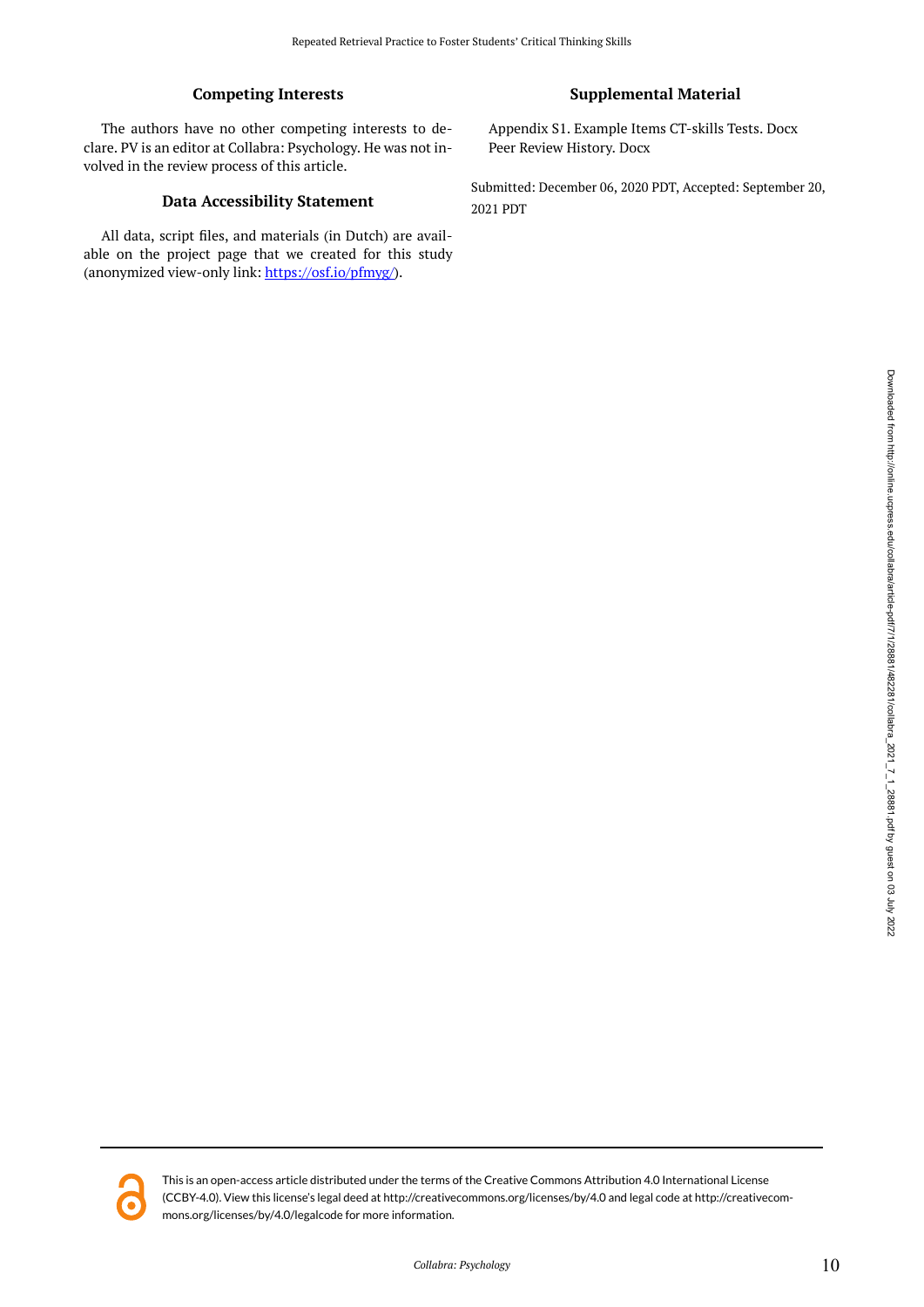# **Competing Interests**

The authors have no other competing interests to declare. PV is an editor at Collabra: Psychology. He was not involved in the review process of this article.

### **Data Accessibility Statement**

All data, script files, and materials (in Dutch) are available on the project page that we created for this study (anonymized view-only link: <https://osf.io/pfmyg/>).

## **Supplemental Material**

Appendix S1. Example Items CT-skills Tests. Docx Peer Review History. Docx

Submitted: December 06, 2020 PDT, Accepted: September 20, 2021 PDT

Downloaded from http://online.ucpress.edu/collabra/article-pdf/71/28881/482281/enlabra\_2021\_7\_1\_28881.pdf by guest on 03 July 2022 Downloaded from http://online.ucpress.edu/collabra/article-pdf/7/1/28881/2021\_1\_2221\_1\_2/22121\_1\_28881.pdf by guest on 03 July 2022



This is an open-access article distributed under the terms of the Creative Commons Attribution 4.0 International License (CCBY-4.0). View this license's legal deed at http://creativecommons.org/licenses/by/4.0 and legal code at http://creativecommons.org/licenses/by/4.0/legalcode for more information.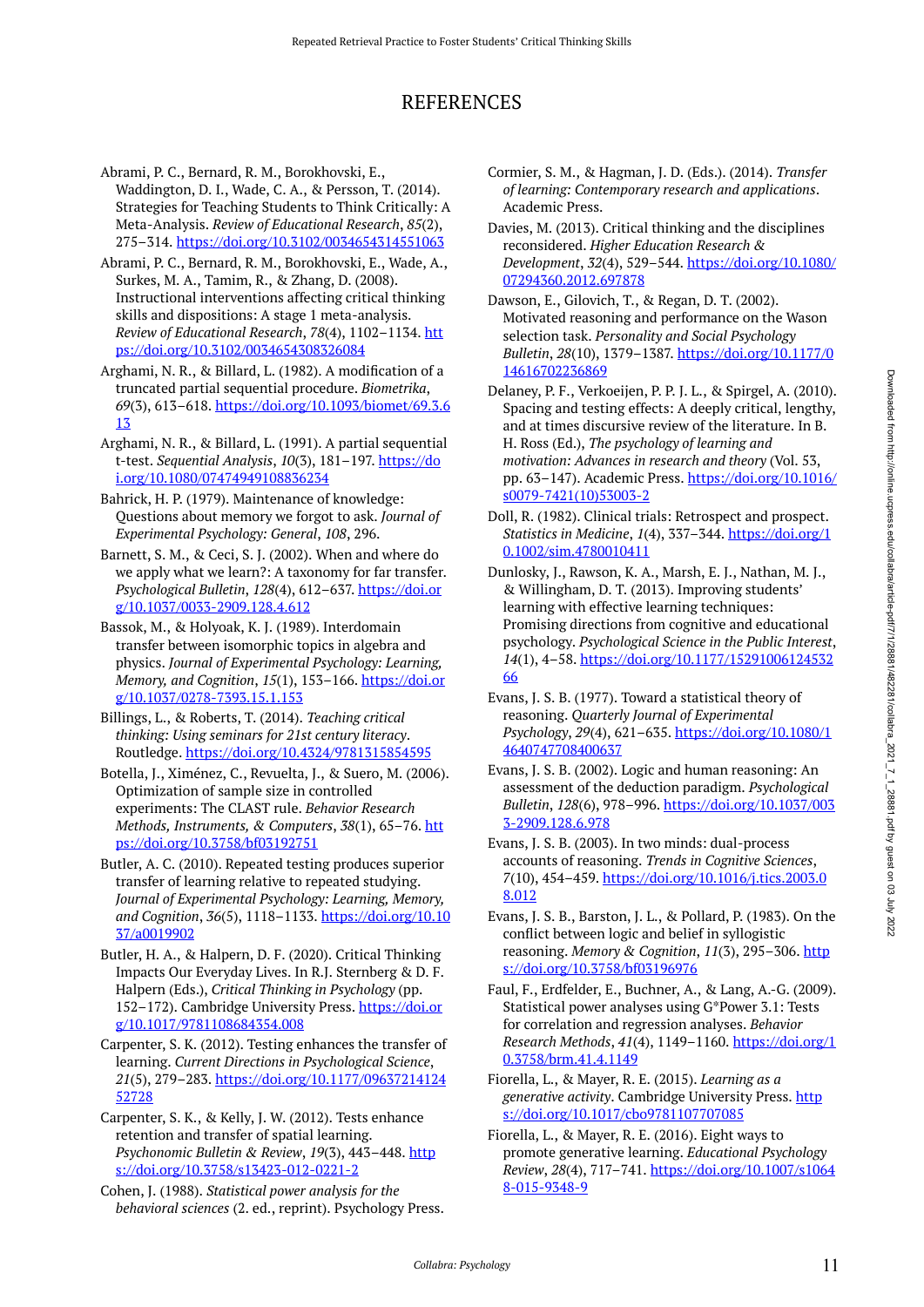# REFERENCES

- Abrami, P. C., Bernard, R. M., Borokhovski, E., Waddington, D. I., Wade, C. A., & Persson, T. (2014). Strategies for Teaching Students to Think Critically: A Meta-Analysis. *Review of Educational Research*, *85*(2), 275–314. <https://doi.org/10.3102/0034654314551063>
- Abrami, P. C., Bernard, R. M., Borokhovski, E., Wade, A., Surkes, M. A., Tamim, R., & Zhang, D. (2008). Instructional interventions affecting critical thinking skills and dispositions: A stage 1 meta-analysis. *Review of Educational Research*, *78*(4), 1102–1134. [htt](https://doi.org/10.3102/0034654308326084) [ps://doi.org/10.3102/0034654308326084](https://doi.org/10.3102/0034654308326084)
- Arghami, N. R., & Billard, L. (1982). A modification of a truncated partial sequential procedure. *Biometrika*, *69*(3), 613–618. [https://doi.org/10.1093/biomet/69.3.6](https://doi.org/10.1093/biomet/69.3.613) [13](https://doi.org/10.1093/biomet/69.3.613)
- Arghami, N. R., & Billard, L. (1991). A partial sequential t-test. *Sequential Analysis*, *10*(3), 181–197. [https://do](https://doi.org/10.1080/07474949108836234) [i.org/10.1080/07474949108836234](https://doi.org/10.1080/07474949108836234)
- Bahrick, H. P. (1979). Maintenance of knowledge: Questions about memory we forgot to ask. *Journal of Experimental Psychology: General*, *108*, 296.
- Barnett, S. M., & Ceci, S. J. (2002). When and where do we apply what we learn?: A taxonomy for far transfer. *Psychological Bulletin*, *128*(4), 612–637. [https://doi.or](https://doi.org/10.1037/0033-2909.128.4.612) [g/10.1037/0033-2909.128.4.612](https://doi.org/10.1037/0033-2909.128.4.612)
- Bassok, M., & Holyoak, K. J. (1989). Interdomain transfer between isomorphic topics in algebra and physics. *Journal of Experimental Psychology: Learning, Memory, and Cognition*, *15*(1), 153–166. [https://doi.or](https://doi.org/10.1037/0278-7393.15.1.153) [g/10.1037/0278-7393.15.1.153](https://doi.org/10.1037/0278-7393.15.1.153)
- Billings, L., & Roberts, T. (2014). *Teaching critical thinking: Using seminars for 21st century literacy*. Routledge. <https://doi.org/10.4324/9781315854595>
- Botella, J., Ximénez, C., Revuelta, J., & Suero, M. (2006). Optimization of sample size in controlled experiments: The CLAST rule. *Behavior Research Methods, Instruments, & Computers*, *38*(1), 65–76. [htt](https://doi.org/10.3758/bf03192751) [ps://doi.org/10.3758/bf03192751](https://doi.org/10.3758/bf03192751)
- Butler, A. C. (2010). Repeated testing produces superior transfer of learning relative to repeated studying. *Journal of Experimental Psychology: Learning, Memory, and Cognition*, *36*(5), 1118–1133. [https://doi.org/10.10](https://doi.org/10.1037/a0019902) [37/a0019902](https://doi.org/10.1037/a0019902)
- Butler, H. A., & Halpern, D. F. (2020). Critical Thinking Impacts Our Everyday Lives. In R.J. Sternberg & D. F. Halpern (Eds.), *Critical Thinking in Psychology* (pp. 152–172). Cambridge University Press. [https://doi.or](https://doi.org/10.1017/9781108684354.008) [g/10.1017/9781108684354.008](https://doi.org/10.1017/9781108684354.008)
- Carpenter, S. K. (2012). Testing enhances the transfer of learning. *Current Directions in Psychological Science*, *21*(5), 279–283. [https://doi.org/10.1177/09637214124](https://doi.org/10.1177/0963721412452728) [52728](https://doi.org/10.1177/0963721412452728)
- Carpenter, S. K., & Kelly, J. W. (2012). Tests enhance retention and transfer of spatial learning. *Psychonomic Bulletin & Review, 19(3), 443-448. [http](https://doi.org/10.3758/s13423-012-0221-2)* [s://doi.org/10.3758/s13423-012-0221-2](https://doi.org/10.3758/s13423-012-0221-2)
- Cohen, J. (1988). *Statistical power analysis for the behavioral sciences* (2. ed., reprint). Psychology Press.
- Cormier, S. M., & Hagman, J. D. (Eds.). (2014). *Transfer of learning: Contemporary research and applications*. Academic Press.
- Davies, M. (2013). Critical thinking and the disciplines reconsidered. *Higher Education Research & Development*, *32*(4), 529–544. [https://doi.org/10.1080/](https://doi.org/10.1080/07294360.2012.697878) [07294360.2012.697878](https://doi.org/10.1080/07294360.2012.697878)
- Dawson, E., Gilovich, T., & Regan, D. T. (2002). Motivated reasoning and performance on the Wason selection task. *Personality and Social Psychology Bulletin*, *28*(10), 1379–1387. [https://doi.org/10.1177/0](https://doi.org/10.1177/014616702236869) [14616702236869](https://doi.org/10.1177/014616702236869)
- Delaney, P. F., Verkoeijen, P. P. J. L., & Spirgel, A. (2010). Spacing and testing effects: A deeply critical, lengthy, and at times discursive review of the literature. In B. H. Ross (Ed.), *The psychology of learning and motivation: Advances in research and theory* (Vol. 53, pp. 63–147). Academic Press. [https://doi.org/10.1016/](https://doi.org/10.1016/s0079-7421(10)53003-2) [s0079-7421\(10\)53003-2](https://doi.org/10.1016/s0079-7421(10)53003-2)
- Doll, R. (1982). Clinical trials: Retrospect and prospect. *Statistics in Medicine*, *1*(4), 337–344. [https://doi.org/1](https://doi.org/10.1002/sim.4780010411) [0.1002/sim.4780010411](https://doi.org/10.1002/sim.4780010411)
- Dunlosky, J., Rawson, K. A., Marsh, E. J., Nathan, M. J., & Willingham, D. T. (2013). Improving students' learning with effective learning techniques: Promising directions from cognitive and educational psychology. *Psychological Science in the Public Interest*, *14*(1), 4–58. [https://doi.org/10.1177/15291006124532](https://doi.org/10.1177/1529100612453266) [66](https://doi.org/10.1177/1529100612453266)
- Evans, J. S. B. (1977). Toward a statistical theory of reasoning. *Quarterly Journal of Experimental Psychology*, *29*(4), 621–635. [https://doi.org/10.1080/1](https://doi.org/10.1080/14640747708400637) [4640747708400637](https://doi.org/10.1080/14640747708400637)
- Evans, J. S. B. (2002). Logic and human reasoning: An assessment of the deduction paradigm. *Psychological Bulletin*, *128*(6), 978–996. [https://doi.org/10.1037/003](https://doi.org/10.1037/0033-2909.128.6.978) [3-2909.128.6.978](https://doi.org/10.1037/0033-2909.128.6.978)
- Evans, J. S. B. (2003). In two minds: dual-process accounts of reasoning. *Trends in Cognitive Sciences*, *7*(10), 454–459. [https://doi.org/10.1016/j.tics.2003.0](https://doi.org/10.1016/j.tics.2003.08.012) [8.012](https://doi.org/10.1016/j.tics.2003.08.012)
- Evans, J. S. B., Barston, J. L., & Pollard, P. (1983). On the conflict between logic and belief in syllogistic reasoning. Memory & Cognition, 11(3), 295-306. [http](https://doi.org/10.3758/bf03196976) [s://doi.org/10.3758/bf03196976](https://doi.org/10.3758/bf03196976)
- Faul, F., Erdfelder, E., Buchner, A., & Lang, A.-G. (2009). Statistical power analyses using G\*Power 3.1: Tests for correlation and regression analyses. *Behavior Research Methods*, *41*(4), 1149–1160. [https://doi.org/1](https://doi.org/10.3758/brm.41.4.1149) [0.3758/brm.41.4.1149](https://doi.org/10.3758/brm.41.4.1149)
- Fiorella, L., & Mayer, R. E. (2015). *Learning as a generative activity*. Cambridge University Press. [http](https://doi.org/10.1017/cbo9781107707085) [s://doi.org/10.1017/cbo9781107707085](https://doi.org/10.1017/cbo9781107707085)
- Fiorella, L., & Mayer, R. E. (2016). Eight ways to promote generative learning. *Educational Psychology Review*, *28*(4), 717–741. [https://doi.org/10.1007/s1064](https://doi.org/10.1007/s10648-015-9348-9) [8-015-9348-9](https://doi.org/10.1007/s10648-015-9348-9)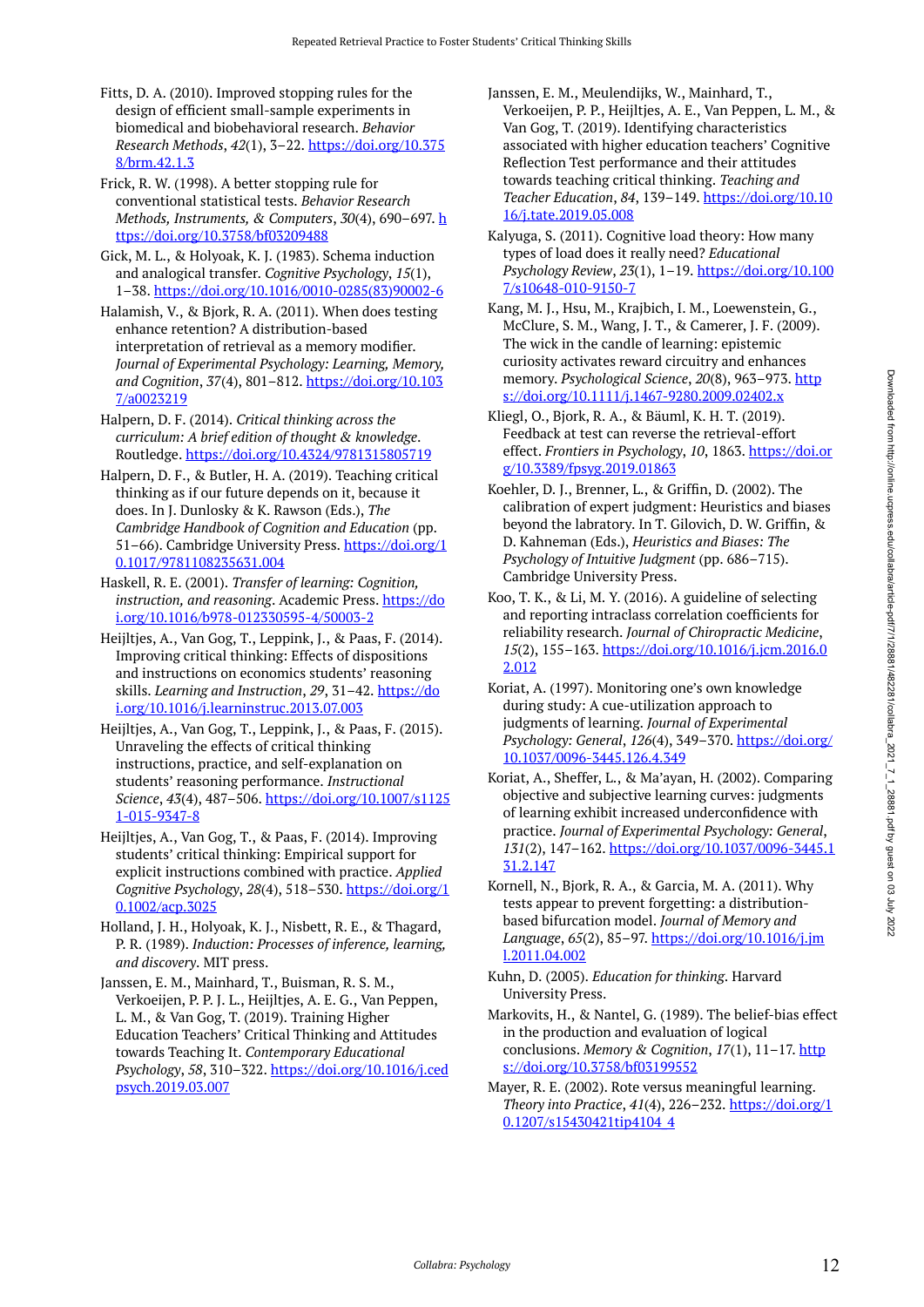- Fitts, D. A. (2010). Improved stopping rules for the design of efficient small-sample experiments in biomedical and biobehavioral research. *Behavior Research Methods*, *42*(1), 3–22. [https://doi.org/10.375](https://doi.org/10.3758/brm.42.1.3) [8/brm.42.1.3](https://doi.org/10.3758/brm.42.1.3)
- Frick, R. W. (1998). A better stopping rule for conventional statistical tests. *Behavior Research Methods, Instruments, & Computers*, *30*(4), 690–697. [h](https://doi.org/10.3758/bf03209488) [ttps://doi.org/10.3758/bf03209488](https://doi.org/10.3758/bf03209488)
- Gick, M. L., & Holyoak, K. J. (1983). Schema induction and analogical transfer. *Cognitive Psychology*, *15*(1), 1–38. [https://doi.org/10.1016/0010-0285\(83\)90002-6](https://doi.org/10.1016/0010-0285(83)90002-6)
- Halamish, V., & Bjork, R. A. (2011). When does testing enhance retention? A distribution-based interpretation of retrieval as a memory modifier. *Journal of Experimental Psychology: Learning, Memory, and Cognition*, *37*(4), 801–812. [https://doi.org/10.103](https://doi.org/10.1037/a0023219) [7/a0023219](https://doi.org/10.1037/a0023219)
- Halpern, D. F. (2014). *Critical thinking across the curriculum: A brief edition of thought & knowledge*. Routledge. <https://doi.org/10.4324/9781315805719>
- Halpern, D. F., & Butler, H. A. (2019). Teaching critical thinking as if our future depends on it, because it does. In J. Dunlosky & K. Rawson (Eds.), *The Cambridge Handbook of Cognition and Education* (pp. 51–66). Cambridge University Press. [https://doi.org/1](https://doi.org/10.1017/9781108235631.004) [0.1017/9781108235631.004](https://doi.org/10.1017/9781108235631.004)
- Haskell, R. E. (2001). *Transfer of learning: Cognition,*  instruction, and reasoning. Academic Press. [https://do](https://doi.org/10.1016/b978-012330595-4/50003-2) [i.org/10.1016/b978-012330595-4/50003-2](https://doi.org/10.1016/b978-012330595-4/50003-2)
- Heijltjes, A., Van Gog, T., Leppink, J., & Paas, F. (2014). Improving critical thinking: Effects of dispositions and instructions on economics students' reasoning skills. *Learning and Instruction*, *29*, 31–42. [https://do](https://doi.org/10.1016/j.learninstruc.2013.07.003) [i.org/10.1016/j.learninstruc.2013.07.003](https://doi.org/10.1016/j.learninstruc.2013.07.003)
- Heijltjes, A., Van Gog, T., Leppink, J., & Paas, F. (2015). Unraveling the effects of critical thinking instructions, practice, and self-explanation on students' reasoning performance. *Instructional Science*, *43*(4), 487–506. [https://doi.org/10.1007/s1125](https://doi.org/10.1007/s11251-015-9347-8) [1-015-9347-8](https://doi.org/10.1007/s11251-015-9347-8)
- Heijltjes, A., Van Gog, T., & Paas, F. (2014). Improving students' critical thinking: Empirical support for explicit instructions combined with practice. *Applied Cognitive Psychology*, *28*(4), 518–530. [https://doi.org/1](https://doi.org/10.1002/acp.3025) [0.1002/acp.3025](https://doi.org/10.1002/acp.3025)
- Holland, J. H., Holyoak, K. J., Nisbett, R. E., & Thagard, P. R. (1989). *Induction: Processes of inference, learning, and discovery*. MIT press.
- Janssen, E. M., Mainhard, T., Buisman, R. S. M., Verkoeijen, P. P. J. L., Heijltjes, A. E. G., Van Peppen, L. M., & Van Gog, T. (2019). Training Higher Education Teachers' Critical Thinking and Attitudes towards Teaching It. *Contemporary Educational Psychology*, *58*, 310–322. [https://doi.org/10.1016/j.ced](https://doi.org/10.1016/j.cedpsych.2019.03.007) [psych.2019.03.007](https://doi.org/10.1016/j.cedpsych.2019.03.007)
- Janssen, E. M., Meulendijks, W., Mainhard, T., Verkoeijen, P. P., Heijltjes, A. E., Van Peppen, L. M., & Van Gog, T. (2019). Identifying characteristics associated with higher education teachers' Cognitive Reflection Test performance and their attitudes towards teaching critical thinking. *Teaching and Teacher Education*, *84*, 139–149. [https://doi.org/10.10](https://doi.org/10.1016/j.tate.2019.05.008) [16/j.tate.2019.05.008](https://doi.org/10.1016/j.tate.2019.05.008)
- Kalyuga, S. (2011). Cognitive load theory: How many types of load does it really need? *Educational Psychology Review*, *23*(1), 1–19. [https://doi.org/10.100](https://doi.org/10.1007/s10648-010-9150-7) [7/s10648-010-9150-7](https://doi.org/10.1007/s10648-010-9150-7)
- Kang, M. J., Hsu, M., Krajbich, I. M., Loewenstein, G., McClure, S. M., Wang, J. T., & Camerer, J. F. (2009). The wick in the candle of learning: epistemic curiosity activates reward circuitry and enhances memory. *Psychological Science*, *20*(8), 963–973. [http](https://doi.org/10.1111/j.1467-9280.2009.02402.x) [s://doi.org/10.1111/j.1467-9280.2009.02402.x](https://doi.org/10.1111/j.1467-9280.2009.02402.x)
- Kliegl, O., Bjork, R. A., & Bäuml, K. H. T. (2019). Feedback at test can reverse the retrieval-effort effect. *Frontiers in Psychology*, *10*, 1863. [https://doi.or](https://doi.org/10.3389/fpsyg.2019.01863) [g/10.3389/fpsyg.2019.01863](https://doi.org/10.3389/fpsyg.2019.01863)
- Koehler, D. J., Brenner, L., & Griffin, D. (2002). The calibration of expert judgment: Heuristics and biases beyond the labratory. In T. Gilovich, D. W. Griffin, & D. Kahneman (Eds.), *Heuristics and Biases: The Psychology of Intuitive Judgment* (pp. 686–715). Cambridge University Press.
- Koo, T. K., & Li, M. Y. (2016). A guideline of selecting and reporting intraclass correlation coefficients for reliability research. *Journal of Chiropractic Medicine*, *15*(2), 155–163. [https://doi.org/10.1016/j.jcm.2016.0](https://doi.org/10.1016/j.jcm.2016.02.012) [2.012](https://doi.org/10.1016/j.jcm.2016.02.012)
- Koriat, A. (1997). Monitoring one's own knowledge during study: A cue-utilization approach to judgments of learning. *Journal of Experimental Psychology: General*, *126*(4), 349–370. [https://doi.org/](https://doi.org/10.1037/0096-3445.126.4.349) [10.1037/0096-3445.126.4.349](https://doi.org/10.1037/0096-3445.126.4.349)
- Koriat, A., Sheffer, L., & Ma'ayan, H. (2002). Comparing objective and subjective learning curves: judgments of learning exhibit increased underconfidence with practice. *Journal of Experimental Psychology: General*, *131*(2), 147–162. [https://doi.org/10.1037/0096-3445.1](https://doi.org/10.1037/0096-3445.131.2.147) [31.2.147](https://doi.org/10.1037/0096-3445.131.2.147)
- Kornell, N., Bjork, R. A., & Garcia, M. A. (2011). Why tests appear to prevent forgetting: a distributionbased bifurcation model. *Journal of Memory and Language*, *65*(2), 85–97. [https://doi.org/10.1016/j.jm](https://doi.org/10.1016/j.jml.2011.04.002) [l.2011.04.002](https://doi.org/10.1016/j.jml.2011.04.002)
- Kuhn, D. (2005). *Education for thinking*. Harvard University Press.
- Markovits, H., & Nantel, G. (1989). The belief-bias effect in the production and evaluation of logical conclusions. *Memory & Cognition*, *17*(1), 11–17. [http](https://doi.org/10.3758/bf03199552) [s://doi.org/10.3758/bf03199552](https://doi.org/10.3758/bf03199552)
- Mayer, R. E. (2002). Rote versus meaningful learning. *Theory into Practice*, *41*(4), 226–232. [https://doi.org/1](https://doi.org/10.1207/s15430421tip4104_4) [0.1207/s15430421tip4104\\_4](https://doi.org/10.1207/s15430421tip4104_4)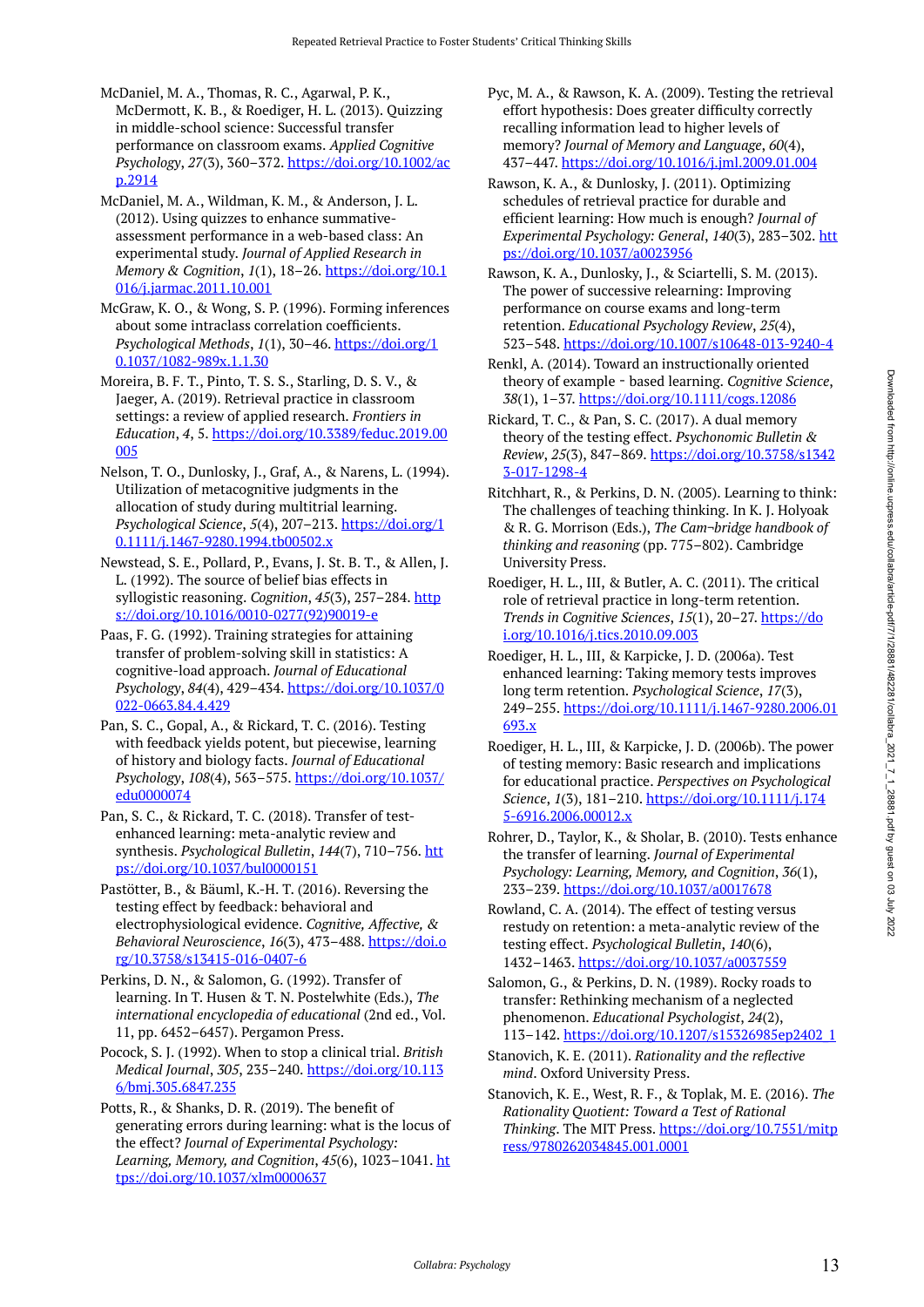McDaniel, M. A., Thomas, R. C., Agarwal, P. K., McDermott, K. B., & Roediger, H. L. (2013). Quizzing in middle-school science: Successful transfer performance on classroom exams. *Applied Cognitive Psychology*, *27*(3), 360–372. [https://doi.org/10.1002/ac](https://doi.org/10.1002/acp.2914) [p.2914](https://doi.org/10.1002/acp.2914)

McDaniel, M. A., Wildman, K. M., & Anderson, J. L. (2012). Using quizzes to enhance summativeassessment performance in a web-based class: An experimental study. *Journal of Applied Research in Memory & Cognition*, *1*(1), 18–26. [https://doi.org/10.1](https://doi.org/10.1016/j.jarmac.2011.10.001) [016/j.jarmac.2011.10.001](https://doi.org/10.1016/j.jarmac.2011.10.001) 

McGraw, K. O., & Wong, S. P. (1996). Forming inferences about some intraclass correlation coefficients. *Psychological Methods*, *1*(1), 30–46. [https://doi.org/1](https://doi.org/10.1037/1082-989x.1.1.30) [0.1037/1082-989x.1.1.30](https://doi.org/10.1037/1082-989x.1.1.30) 

Moreira, B. F. T., Pinto, T. S. S., Starling, D. S. V., & Jaeger, A. (2019). Retrieval practice in classroom settings: a review of applied research. *Frontiers in Education*, *4*, 5. [https://doi.org/10.3389/feduc.2019.00](https://doi.org/10.3389/feduc.2019.00005) [005](https://doi.org/10.3389/feduc.2019.00005) 

Nelson, T. O., Dunlosky, J., Graf, A., & Narens, L. (1994). Utilization of metacognitive judgments in the allocation of study during multitrial learning. *Psychological Science*, *5*(4), 207–213. [https://doi.org/1](https://doi.org/10.1111/j.1467-9280.1994.tb00502.x) [0.1111/j.1467-9280.1994.tb00502.x](https://doi.org/10.1111/j.1467-9280.1994.tb00502.x) 

Newstead, S. E., Pollard, P., Evans, J. St. B. T., & Allen, J. L. (1992). The source of belief bias effects in syllogistic reasoning. *Cognition*, 45(3), 257-284. [http](https://doi.org/10.1016/0010-0277(92)90019-e) [s://doi.org/10.1016/0010-0277\(92\)90019-e](https://doi.org/10.1016/0010-0277(92)90019-e) 

Paas, F. G. (1992). Training strategies for attaining transfer of problem-solving skill in statistics: A cognitive-load approach. *Journal of Educational Psychology*, *84*(4), 429–434. [https://doi.org/10.1037/0](https://doi.org/10.1037/0022-0663.84.4.429) [022-0663.84.4.429](https://doi.org/10.1037/0022-0663.84.4.429)

Pan, S. C., Gopal, A., & Rickard, T. C. (2016). Testing with feedback yields potent, but piecewise, learning of history and biology facts. *Journal of Educational Psychology*, *108*(4), 563–575. [https://doi.org/10.1037/](https://doi.org/10.1037/edu0000074) [edu0000074](https://doi.org/10.1037/edu0000074) 

Pan, S. C., & Rickard, T. C. (2018). Transfer of testenhanced learning: meta-analytic review and synthesis. *Psychological Bulletin*, *144*(7), 710–756. [htt](https://doi.org/10.1037/bul0000151) [ps://doi.org/10.1037/bul0000151](https://doi.org/10.1037/bul0000151) 

Pastötter, B., & Bäuml, K.-H. T. (2016). Reversing the testing effect by feedback: behavioral and electrophysiological evidence. *Cognitive, Affective, & Behavioral Neuroscience*, *16*(3), 473–488. [https://doi.o](https://doi.org/10.3758/s13415-016-0407-6) [rg/10.3758/s13415-016-0407-6](https://doi.org/10.3758/s13415-016-0407-6)

Perkins, D. N., & Salomon, G. (1992). Transfer of learning. In T. Husen & T. N. Postelwhite (Eds.), *The international encyclopedia of educational* (2nd ed., Vol. 11, pp. 6452–6457). Pergamon Press.

Pocock, S. J. (1992). When to stop a clinical trial. *British Medical Journal*, *305*, 235–240. [https://doi.org/10.113](https://doi.org/10.1136/bmj.305.6847.235) [6/bmj.305.6847.235](https://doi.org/10.1136/bmj.305.6847.235)

Potts, R., & Shanks, D. R. (2019). The benefit of generating errors during learning: what is the locus of the effect? *Journal of Experimental Psychology: Learning, Memory, and Cognition*, *45*(6), 1023–1041. [ht](https://doi.org/10.1037/xlm0000637) [tps://doi.org/10.1037/xlm0000637](https://doi.org/10.1037/xlm0000637) 

- Pyc, M. A., & Rawson, K. A. (2009). Testing the retrieval effort hypothesis: Does greater difficulty correctly recalling information lead to higher levels of memory? *Journal of Memory and Language*, *60*(4), 437–447. <https://doi.org/10.1016/j.jml.2009.01.004>
- Rawson, K. A., & Dunlosky, J. (2011). Optimizing schedules of retrieval practice for durable and efficient learning: How much is enough? *Journal of Experimental Psychology: General*, *140*(3), 283–302. [htt](https://doi.org/10.1037/a0023956) [ps://doi.org/10.1037/a0023956](https://doi.org/10.1037/a0023956)

Rawson, K. A., Dunlosky, J., & Sciartelli, S. M. (2013). The power of successive relearning: Improving performance on course exams and long-term retention. *Educational Psychology Review*, *25*(4), 523–548.<https://doi.org/10.1007/s10648-013-9240-4>

- Renkl, A. (2014). Toward an instructionally oriented theory of example‐based learning. *Cognitive Science*, *38*(1), 1–37.<https://doi.org/10.1111/cogs.12086>
- Rickard, T. C., & Pan, S. C. (2017). A dual memory theory of the testing effect. *Psychonomic Bulletin & Review*, *25*(3), 847–869. [https://doi.org/10.3758/s1342](https://doi.org/10.3758/s13423-017-1298-4) [3-017-1298-4](https://doi.org/10.3758/s13423-017-1298-4)
- Ritchhart, R., & Perkins, D. N. (2005). Learning to think: The challenges of teaching thinking. In K. J. Holyoak & R. G. Morrison (Eds.), *The Cam¬bridge handbook of thinking and reasoning* (pp. 775–802). Cambridge University Press.
- Roediger, H. L., III, & Butler, A. C. (2011). The critical role of retrieval practice in long-term retention. *Trends in Cognitive Sciences*, *15*(1), 20–27. [https://do](https://doi.org/10.1016/j.tics.2010.09.003) [i.org/10.1016/j.tics.2010.09.003](https://doi.org/10.1016/j.tics.2010.09.003)

Roediger, H. L., III, & Karpicke, J. D. (2006a). Test enhanced learning: Taking memory tests improves long term retention. *Psychological Science*, *17*(3), 249–255. [https://doi.org/10.1111/j.1467-9280.2006.01](https://doi.org/10.1111/j.1467-9280.2006.01693.x) [693.x](https://doi.org/10.1111/j.1467-9280.2006.01693.x) 

Roediger, H. L., III, & Karpicke, J. D. (2006b). The power of testing memory: Basic research and implications for educational practice. *Perspectives on Psychological Science*, *1*(3), 181–210. [https://doi.org/10.1111/j.174](https://doi.org/10.1111/j.1745-6916.2006.00012.x) [5-6916.2006.00012.x](https://doi.org/10.1111/j.1745-6916.2006.00012.x)

Rohrer, D., Taylor, K., & Sholar, B. (2010). Tests enhance the transfer of learning. *Journal of Experimental Psychology: Learning, Memory, and Cognition*, *36*(1), 233–239.<https://doi.org/10.1037/a0017678>

Rowland, C. A. (2014). The effect of testing versus restudy on retention: a meta-analytic review of the testing effect. *Psychological Bulletin*, *140*(6), 1432–1463. <https://doi.org/10.1037/a0037559>

Salomon, G., & Perkins, D. N. (1989). Rocky roads to transfer: Rethinking mechanism of a neglected phenomenon. *Educational Psychologist*, *24*(2), 113–142. [https://doi.org/10.1207/s15326985ep2402\\_1](https://doi.org/10.1207/s15326985ep2402_1) 

Stanovich, K. E. (2011). *Rationality and the reflective mind*. Oxford University Press.

Stanovich, K. E., West, R. F., & Toplak, M. E. (2016). *The Rationality Quotient: Toward a Test of Rational Thinking*. The MIT Press. [https://doi.org/10.7551/mitp](https://doi.org/10.7551/mitpress/9780262034845.001.0001) [ress/9780262034845.001.0001](https://doi.org/10.7551/mitpress/9780262034845.001.0001)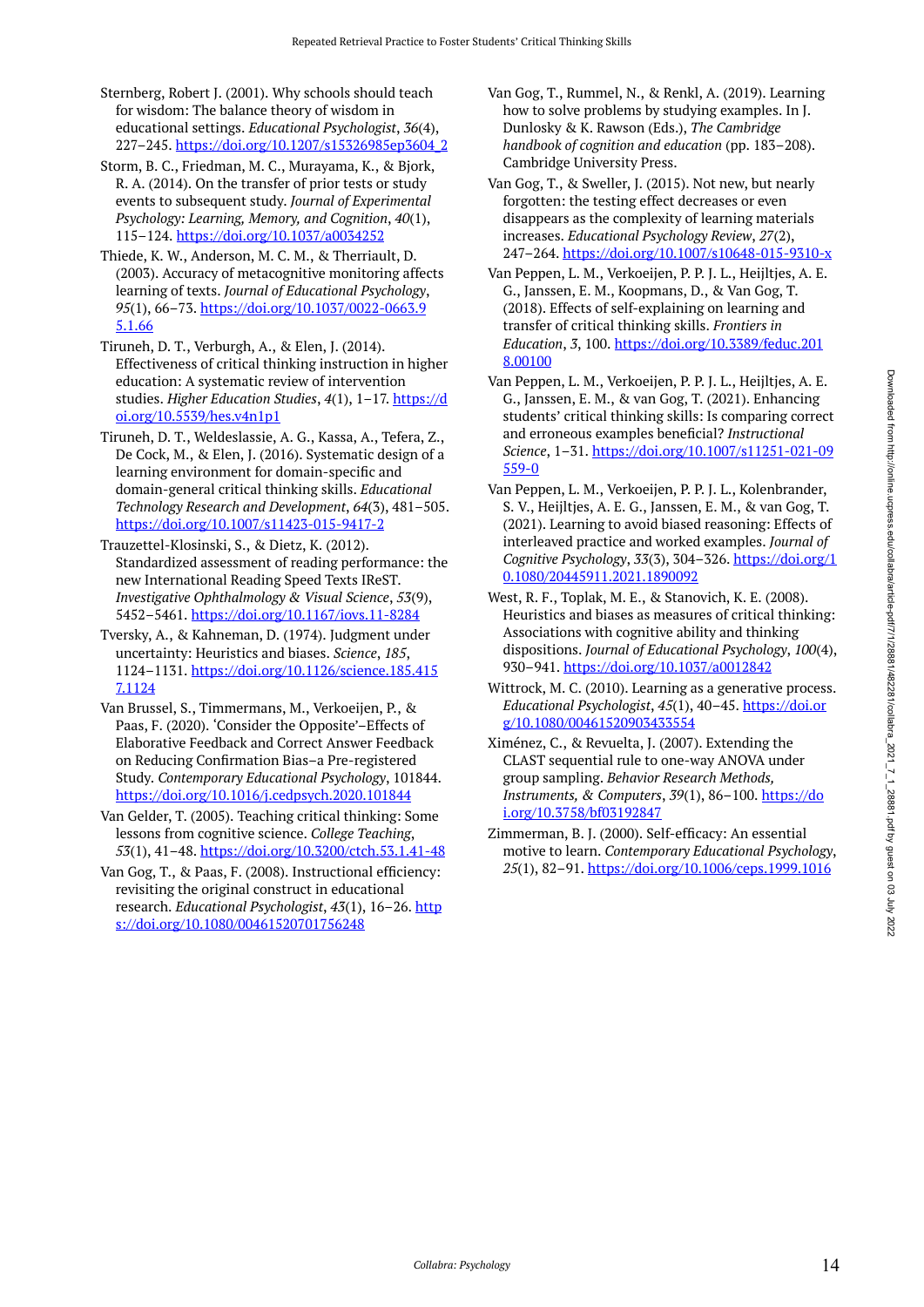- Sternberg, Robert J. (2001). Why schools should teach for wisdom: The balance theory of wisdom in educational settings. *Educational Psychologist*, *36*(4), 227–245. [https://doi.org/10.1207/s15326985ep3604\\_2](https://doi.org/10.1207/s15326985ep3604_2)
- Storm, B. C., Friedman, M. C., Murayama, K., & Bjork, R. A. (2014). On the transfer of prior tests or study events to subsequent study. *Journal of Experimental Psychology: Learning, Memory, and Cognition*, *40*(1), 115–124. <https://doi.org/10.1037/a0034252>
- Thiede, K. W., Anderson, M. C. M., & Therriault, D. (2003). Accuracy of metacognitive monitoring affects learning of texts. *Journal of Educational Psychology*, *95*(1), 66–73. [https://doi.org/10.1037/0022-0663.9](https://doi.org/10.1037/0022-0663.95.1.66) [5.1.66](https://doi.org/10.1037/0022-0663.95.1.66)
- Tiruneh, D. T., Verburgh, A., & Elen, J. (2014). Effectiveness of critical thinking instruction in higher education: A systematic review of intervention studies. *Higher Education Studies*, *4*(1), 1–17. [https://d](https://doi.org/10.5539/hes.v4n1p1) [oi.org/10.5539/hes.v4n1p1](https://doi.org/10.5539/hes.v4n1p1)
- Tiruneh, D. T., Weldeslassie, A. G., Kassa, A., Tefera, Z., De Cock, M., & Elen, J. (2016). Systematic design of a learning environment for domain-specific and domain-general critical thinking skills. *Educational Technology Research and Development*, *64*(3), 481–505. <https://doi.org/10.1007/s11423-015-9417-2>
- Trauzettel-Klosinski, S., & Dietz, K. (2012). Standardized assessment of reading performance: the new International Reading Speed Texts IReST. *Investigative Ophthalmology & Visual Science*, *53*(9), 5452–5461.<https://doi.org/10.1167/iovs.11-8284>
- Tversky, A., & Kahneman, D. (1974). Judgment under uncertainty: Heuristics and biases. *Science*, *185*, 1124–1131. [https://doi.org/10.1126/science.185.415](https://doi.org/10.1126/science.185.4157.1124) [7.1124](https://doi.org/10.1126/science.185.4157.1124)
- Van Brussel, S., Timmermans, M., Verkoeijen, P., & Paas, F. (2020). 'Consider the Opposite'–Effects of Elaborative Feedback and Correct Answer Feedback on Reducing Confirmation Bias–a Pre-registered Study. *Contemporary Educational Psychology*, 101844. <https://doi.org/10.1016/j.cedpsych.2020.101844>
- Van Gelder, T. (2005). Teaching critical thinking: Some lessons from cognitive science. *College Teaching*, *53*(1), 41–48.<https://doi.org/10.3200/ctch.53.1.41-48>
- Van Gog, T., & Paas, F. (2008). Instructional efficiency: revisiting the original construct in educational research. *Educational Psychologist*, *43*(1), 16–26. [http](https://doi.org/10.1080/00461520701756248) [s://doi.org/10.1080/00461520701756248](https://doi.org/10.1080/00461520701756248)
- Van Gog, T., Rummel, N., & Renkl, A. (2019). Learning how to solve problems by studying examples. In J. Dunlosky & K. Rawson (Eds.), *The Cambridge handbook of cognition and education* (pp. 183–208). Cambridge University Press.
- Van Gog, T., & Sweller, J. (2015). Not new, but nearly forgotten: the testing effect decreases or even disappears as the complexity of learning materials increases. *Educational Psychology Review*, *27*(2), 247–264. <https://doi.org/10.1007/s10648-015-9310-x>
- Van Peppen, L. M., Verkoeijen, P. P. J. L., Heijltjes, A. E. G., Janssen, E. M., Koopmans, D., & Van Gog, T. (2018). Effects of self-explaining on learning and transfer of critical thinking skills. *Frontiers in Education*, *3*, 100. [https://doi.org/10.3389/feduc.201](https://doi.org/10.3389/feduc.2018.00100) [8.00100](https://doi.org/10.3389/feduc.2018.00100)
- Van Peppen, L. M., Verkoeijen, P. P. J. L., Heijltjes, A. E. G., Janssen, E. M., & van Gog, T. (2021). Enhancing students' critical thinking skills: Is comparing correct and erroneous examples beneficial? *Instructional Science*, 1–31. [https://doi.org/10.1007/s11251-021-09](https://doi.org/10.1007/s11251-021-09559-0) [559-0](https://doi.org/10.1007/s11251-021-09559-0)
- Van Peppen, L. M., Verkoeijen, P. P. J. L., Kolenbrander, S. V., Heijltjes, A. E. G., Janssen, E. M., & van Gog, T. (2021). Learning to avoid biased reasoning: Effects of interleaved practice and worked examples. *Journal of Cognitive Psychology*, *33*(3), 304–326. [https://doi.org/1](https://doi.org/10.1080/20445911.2021.1890092) [0.1080/20445911.2021.1890092](https://doi.org/10.1080/20445911.2021.1890092)
- West, R. F., Toplak, M. E., & Stanovich, K. E. (2008). Heuristics and biases as measures of critical thinking: Associations with cognitive ability and thinking dispositions. *Journal of Educational Psychology*, *100*(4), 930–941.<https://doi.org/10.1037/a0012842>
- Wittrock, M. C. (2010). Learning as a generative process. *Educational Psychologist*, *45*(1), 40–45. [https://doi.or](https://doi.org/10.1080/00461520903433554) [g/10.1080/00461520903433554](https://doi.org/10.1080/00461520903433554)
- Ximénez, C., & Revuelta, J. (2007). Extending the CLAST sequential rule to one-way ANOVA under group sampling. *Behavior Research Methods, Instruments, & Computers*, *39*(1), 86–100. [https://do](https://doi.org/10.3758/bf03192847) [i.org/10.3758/bf03192847](https://doi.org/10.3758/bf03192847)
- Zimmerman, B. J. (2000). Self-efficacy: An essential motive to learn. *Contemporary Educational Psychology*, *25*(1), 82–91. <https://doi.org/10.1006/ceps.1999.1016>